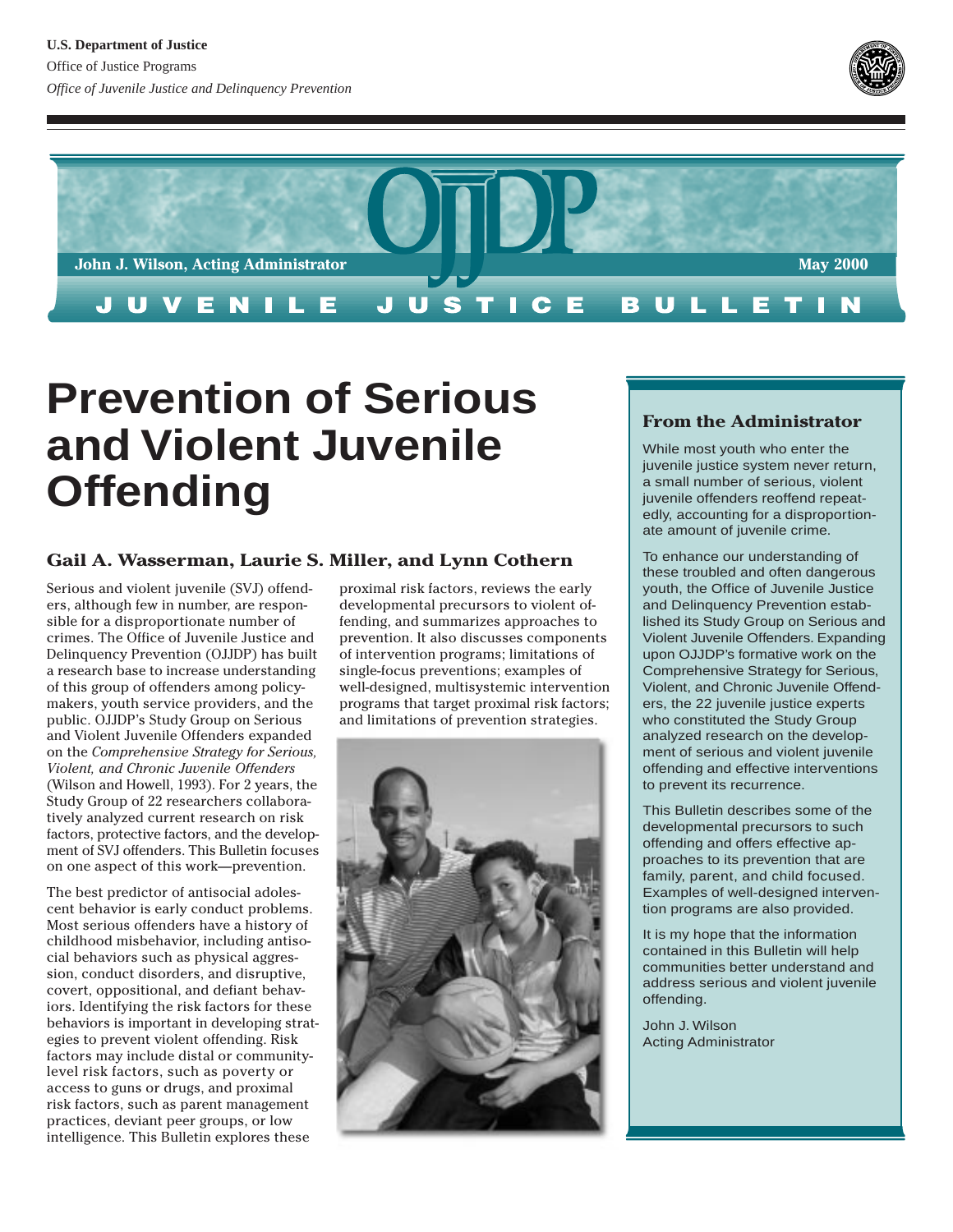



# **Prevention of Serious and Violent Juvenile Offending**

## **Gail A. Wasserman, Laurie S. Miller, and Lynn Cothern**

Serious and violent juvenile (SVJ) offenders, although few in number, are responsible for a disproportionate number of crimes. The Office of Juvenile Justice and Delinquency Prevention (OJJDP) has built a research base to increase understanding of this group of offenders among policymakers, youth service providers, and the public. OJJDP's Study Group on Serious and Violent Juvenile Offenders expanded on the *Comprehensive Strategy for Serious, Violent, and Chronic Juvenile Offenders* (Wilson and Howell, 1993). For 2 years, the Study Group of 22 researchers collaboratively analyzed current research on risk factors, protective factors, and the development of SVJ offenders. This Bulletin focuses on one aspect of this work—prevention.

The best predictor of antisocial adolescent behavior is early conduct problems. Most serious offenders have a history of childhood misbehavior, including antisocial behaviors such as physical aggression, conduct disorders, and disruptive, covert, oppositional, and defiant behaviors. Identifying the risk factors for these behaviors is important in developing strategies to prevent violent offending. Risk factors may include distal or communitylevel risk factors, such as poverty or access to guns or drugs, and proximal risk factors, such as parent management practices, deviant peer groups, or low intelligence. This Bulletin explores these

proximal risk factors, reviews the early developmental precursors to violent offending, and summarizes approaches to prevention. It also discusses components of intervention programs; limitations of single-focus preventions; examples of well-designed, multisystemic intervention programs that target proximal risk factors; and limitations of prevention strategies.



## **From the Administrator**

While most youth who enter the juvenile justice system never return, a small number of serious, violent juvenile offenders reoffend repeatedly, accounting for a disproportionate amount of juvenile crime.

To enhance our understanding of these troubled and often dangerous youth, the Office of Juvenile Justice and Delinquency Prevention established its Study Group on Serious and Violent Juvenile Offenders. Expanding upon OJJDP's formative work on the Comprehensive Strategy for Serious, Violent, and Chronic Juvenile Offenders, the 22 juvenile justice experts who constituted the Study Group analyzed research on the development of serious and violent juvenile offending and effective interventions to prevent its recurrence.

This Bulletin describes some of the developmental precursors to such offending and offers effective approaches to its prevention that are family, parent, and child focused. Examples of well-designed intervention programs are also provided.

It is my hope that the information contained in this Bulletin will help communities better understand and address serious and violent juvenile offending.

John J. Wilson Acting Administrator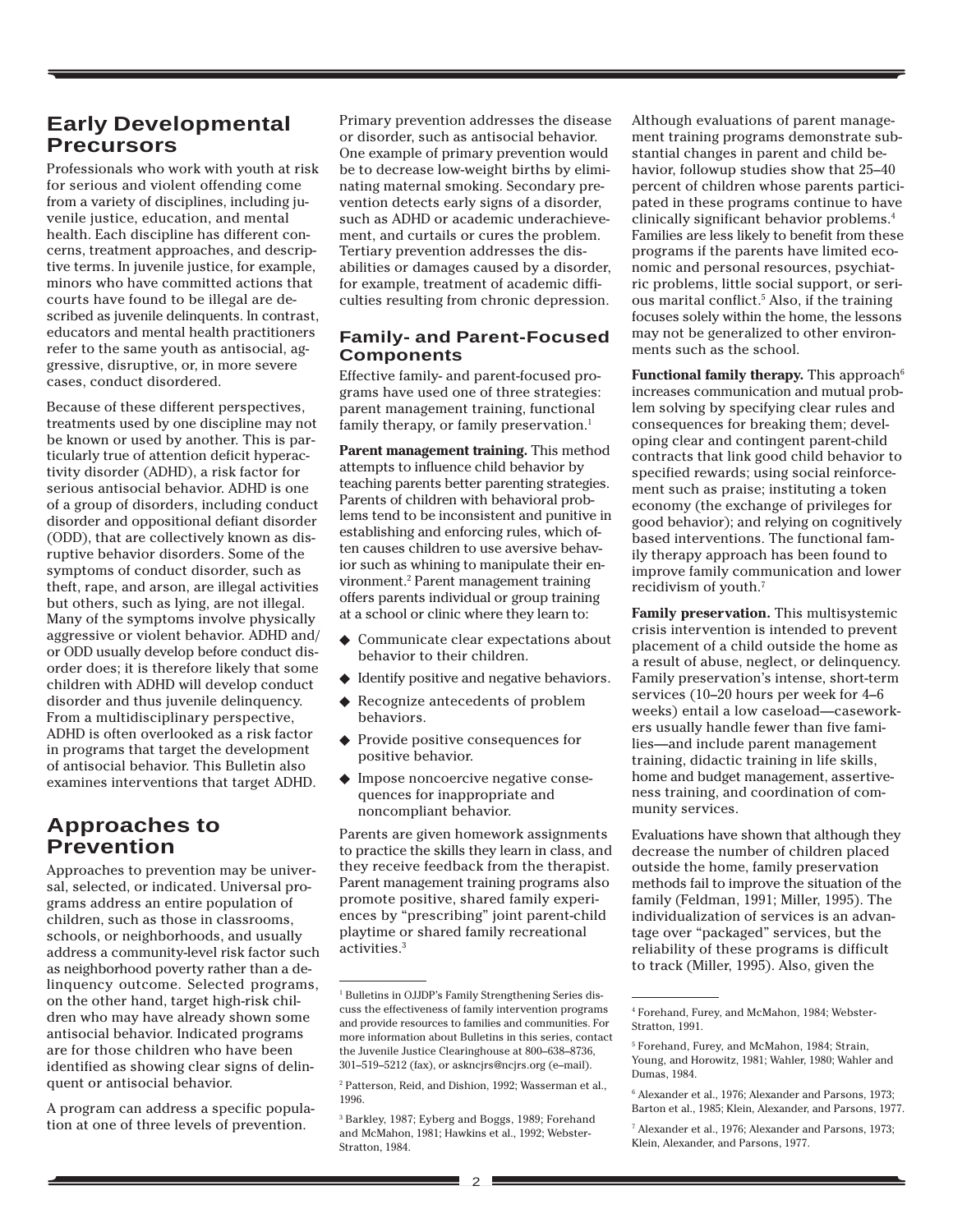## **Early Developmental Precursors**

Professionals who work with youth at risk for serious and violent offending come from a variety of disciplines, including juvenile justice, education, and mental health. Each discipline has different concerns, treatment approaches, and descriptive terms. In juvenile justice, for example, minors who have committed actions that courts have found to be illegal are described as juvenile delinquents. In contrast, educators and mental health practitioners refer to the same youth as antisocial, aggressive, disruptive, or, in more severe cases, conduct disordered.

Because of these different perspectives, treatments used by one discipline may not be known or used by another. This is particularly true of attention deficit hyperactivity disorder (ADHD), a risk factor for serious antisocial behavior. ADHD is one of a group of disorders, including conduct disorder and oppositional defiant disorder (ODD), that are collectively known as disruptive behavior disorders. Some of the symptoms of conduct disorder, such as theft, rape, and arson, are illegal activities but others, such as lying, are not illegal. Many of the symptoms involve physically aggressive or violent behavior. ADHD and/ or ODD usually develop before conduct disorder does; it is therefore likely that some children with ADHD will develop conduct disorder and thus juvenile delinquency. From a multidisciplinary perspective, ADHD is often overlooked as a risk factor in programs that target the development of antisocial behavior. This Bulletin also examines interventions that target ADHD.

## **Approaches to Prevention**

Approaches to prevention may be universal, selected, or indicated. Universal programs address an entire population of children, such as those in classrooms, schools, or neighborhoods, and usually address a community-level risk factor such as neighborhood poverty rather than a delinquency outcome. Selected programs, on the other hand, target high-risk children who may have already shown some antisocial behavior. Indicated programs are for those children who have been identified as showing clear signs of delinquent or antisocial behavior.

A program can address a specific population at one of three levels of prevention.

Primary prevention addresses the disease or disorder, such as antisocial behavior. One example of primary prevention would be to decrease low-weight births by eliminating maternal smoking. Secondary prevention detects early signs of a disorder, such as ADHD or academic underachievement, and curtails or cures the problem. Tertiary prevention addresses the disabilities or damages caused by a disorder, for example, treatment of academic difficulties resulting from chronic depression.

## **Family- and Parent-Focused Components**

Effective family- and parent-focused programs have used one of three strategies: parent management training, functional family therapy, or family preservation.<sup>1</sup>

**Parent management training.** This method attempts to influence child behavior by teaching parents better parenting strategies. Parents of children with behavioral problems tend to be inconsistent and punitive in establishing and enforcing rules, which often causes children to use aversive behavior such as whining to manipulate their environment.2 Parent management training offers parents individual or group training at a school or clinic where they learn to:

- ◆ Communicate clear expectations about behavior to their children.
- ◆ Identify positive and negative behaviors. ◆ Recognize antecedents of problem
- behaviors.
- ◆ Provide positive consequences for positive behavior.
- ◆ Impose noncoercive negative consequences for inappropriate and noncompliant behavior.

Parents are given homework assignments to practice the skills they learn in class, and they receive feedback from the therapist. Parent management training programs also promote positive, shared family experiences by "prescribing" joint parent-child playtime or shared family recreational activities.3

Although evaluations of parent management training programs demonstrate substantial changes in parent and child behavior, followup studies show that 25–40 percent of children whose parents participated in these programs continue to have clinically significant behavior problems.4 Families are less likely to benefit from these programs if the parents have limited economic and personal resources, psychiatric problems, little social support, or serious marital conflict.5 Also, if the training focuses solely within the home, the lessons may not be generalized to other environments such as the school.

Functional family therapy. This approach<sup>6</sup> increases communication and mutual problem solving by specifying clear rules and consequences for breaking them; developing clear and contingent parent-child contracts that link good child behavior to specified rewards; using social reinforcement such as praise; instituting a token economy (the exchange of privileges for good behavior); and relying on cognitively based interventions. The functional family therapy approach has been found to improve family communication and lower recidivism of youth.7

**Family preservation.** This multisystemic crisis intervention is intended to prevent placement of a child outside the home as a result of abuse, neglect, or delinquency. Family preservation's intense, short-term services (10–20 hours per week for 4–6 weeks) entail a low caseload—caseworkers usually handle fewer than five families—and include parent management training, didactic training in life skills, home and budget management, assertiveness training, and coordination of community services.

Evaluations have shown that although they decrease the number of children placed outside the home, family preservation methods fail to improve the situation of the family (Feldman, 1991; Miller, 1995). The individualization of services is an advantage over "packaged" services, but the reliability of these programs is difficult to track (Miller, 1995). Also, given the

<sup>&</sup>lt;sup>1</sup> Bulletins in OJJDP's Family Strengthening Series discuss the effectiveness of family intervention programs and provide resources to families and communities. For more information about Bulletins in this series, contact the Juvenile Justice Clearinghouse at 800–638–8736, 301–519–5212 (fax), or askncjrs@ncjrs.org (e–mail).

<sup>2</sup> Patterson, Reid, and Dishion, 1992; Wasserman et al., 1996.

<sup>3</sup> Barkley, 1987; Eyberg and Boggs, 1989; Forehand and McMahon, 1981; Hawkins et al., 1992; Webster-Stratton, 1984.

<sup>4</sup> Forehand, Furey, and McMahon, 1984; Webster-Stratton, 1991.

<sup>5</sup> Forehand, Furey, and McMahon, 1984; Strain, Young, and Horowitz, 1981; Wahler, 1980; Wahler and Dumas, 1984.

<sup>6</sup> Alexander et al., 1976; Alexander and Parsons, 1973; Barton et al., 1985; Klein, Alexander, and Parsons, 1977.

<sup>7</sup> Alexander et al., 1976; Alexander and Parsons, 1973; Klein, Alexander, and Parsons, 1977.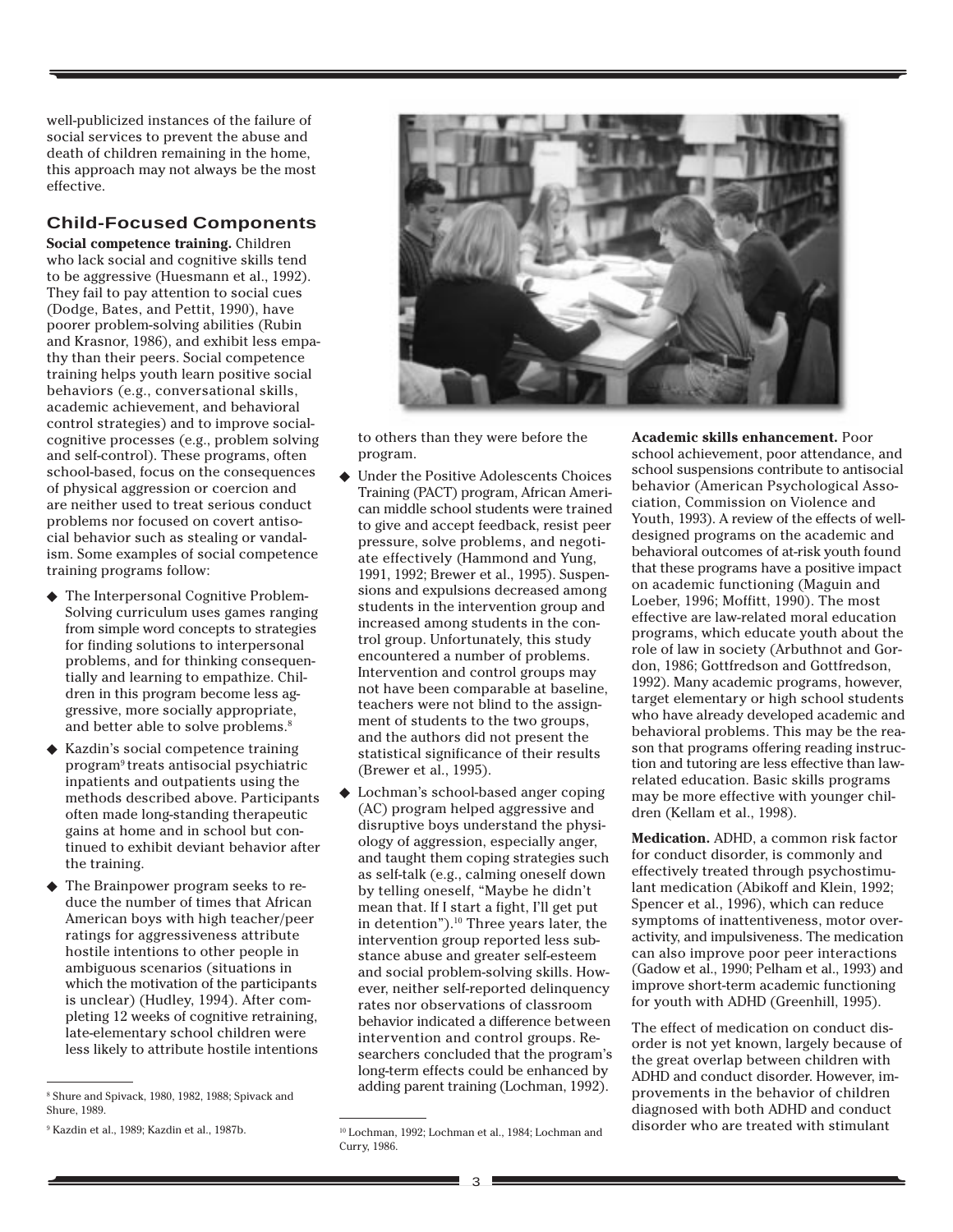well-publicized instances of the failure of social services to prevent the abuse and death of children remaining in the home, this approach may not always be the most effective.

## **Child-Focused Components**

**Social competence training.** Children who lack social and cognitive skills tend to be aggressive (Huesmann et al., 1992). They fail to pay attention to social cues (Dodge, Bates, and Pettit, 1990), have poorer problem-solving abilities (Rubin and Krasnor, 1986), and exhibit less empathy than their peers. Social competence training helps youth learn positive social behaviors (e.g., conversational skills, academic achievement, and behavioral control strategies) and to improve socialcognitive processes (e.g., problem solving and self-control). These programs, often school-based, focus on the consequences of physical aggression or coercion and are neither used to treat serious conduct problems nor focused on covert antisocial behavior such as stealing or vandalism. Some examples of social competence training programs follow:

- The Interpersonal Cognitive Problem-Solving curriculum uses games ranging from simple word concepts to strategies for finding solutions to interpersonal problems, and for thinking consequentially and learning to empathize. Children in this program become less aggressive, more socially appropriate, and better able to solve problems.<sup>8</sup>
- ◆ Kazdin's social competence training program9 treats antisocial psychiatric inpatients and outpatients using the methods described above. Participants often made long-standing therapeutic gains at home and in school but continued to exhibit deviant behavior after the training.
- ◆ The Brainpower program seeks to reduce the number of times that African American boys with high teacher/peer ratings for aggressiveness attribute hostile intentions to other people in ambiguous scenarios (situations in which the motivation of the participants is unclear) (Hudley, 1994). After completing 12 weeks of cognitive retraining, late-elementary school children were less likely to attribute hostile intentions



to others than they were before the program.

- ◆ Under the Positive Adolescents Choices Training (PACT) program, African American middle school students were trained to give and accept feedback, resist peer pressure, solve problems, and negotiate effectively (Hammond and Yung, 1991, 1992; Brewer et al., 1995). Suspensions and expulsions decreased among students in the intervention group and increased among students in the control group. Unfortunately, this study encountered a number of problems. Intervention and control groups may not have been comparable at baseline, teachers were not blind to the assignment of students to the two groups, and the authors did not present the statistical significance of their results (Brewer et al., 1995).
- ◆ Lochman's school-based anger coping (AC) program helped aggressive and disruptive boys understand the physiology of aggression, especially anger, and taught them coping strategies such as self-talk (e.g., calming oneself down by telling oneself, "Maybe he didn't mean that. If I start a fight, I'll get put in detention").<sup>10</sup> Three years later, the intervention group reported less substance abuse and greater self-esteem and social problem-solving skills. However, neither self-reported delinquency rates nor observations of classroom behavior indicated a difference between intervention and control groups. Researchers concluded that the program's long-term effects could be enhanced by adding parent training (Lochman, 1992).

**Academic skills enhancement.** Poor school achievement, poor attendance, and school suspensions contribute to antisocial behavior (American Psychological Association, Commission on Violence and Youth, 1993). A review of the effects of welldesigned programs on the academic and behavioral outcomes of at-risk youth found that these programs have a positive impact on academic functioning (Maguin and Loeber, 1996; Moffitt, 1990). The most effective are law-related moral education programs, which educate youth about the role of law in society (Arbuthnot and Gordon, 1986; Gottfredson and Gottfredson, 1992). Many academic programs, however, target elementary or high school students who have already developed academic and behavioral problems. This may be the reason that programs offering reading instruction and tutoring are less effective than lawrelated education. Basic skills programs may be more effective with younger children (Kellam et al., 1998).

**Medication.** ADHD, a common risk factor for conduct disorder, is commonly and effectively treated through psychostimulant medication (Abikoff and Klein, 1992; Spencer et al., 1996), which can reduce symptoms of inattentiveness, motor overactivity, and impulsiveness. The medication can also improve poor peer interactions (Gadow et al., 1990; Pelham et al., 1993) and improve short-term academic functioning for youth with ADHD (Greenhill, 1995).

The effect of medication on conduct disorder is not yet known, largely because of the great overlap between children with ADHD and conduct disorder. However, improvements in the behavior of children diagnosed with both ADHD and conduct disorder who are treated with stimulant

<sup>8</sup> Shure and Spivack, 1980, 1982, 1988; Spivack and Shure, 1989.

<sup>&</sup>lt;sup>9</sup> Kazdin et al., 1989; Kazdin et al., 1987b.

<sup>&</sup>lt;sup>10</sup> Lochman, 1992; Lochman et al., 1984; Lochman and Curry, 1986.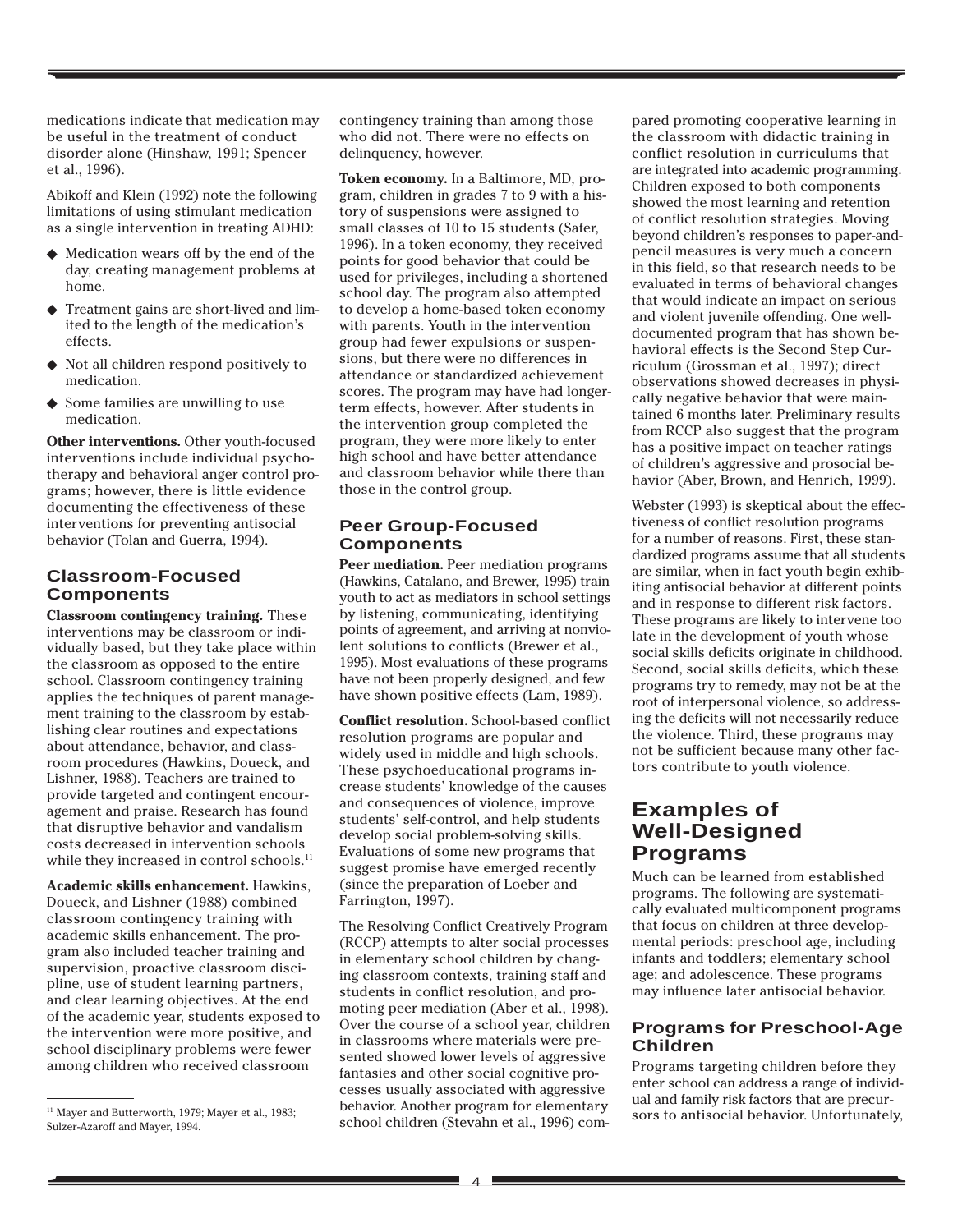medications indicate that medication may be useful in the treatment of conduct disorder alone (Hinshaw, 1991; Spencer et al., 1996).

Abikoff and Klein (1992) note the following limitations of using stimulant medication as a single intervention in treating ADHD:

- ◆ Medication wears off by the end of the day, creating management problems at home.
- ◆ Treatment gains are short-lived and limited to the length of the medication's effects.
- ◆ Not all children respond positively to medication.
- ◆ Some families are unwilling to use medication.

**Other interventions.** Other youth-focused interventions include individual psychotherapy and behavioral anger control programs; however, there is little evidence documenting the effectiveness of these interventions for preventing antisocial behavior (Tolan and Guerra, 1994).

## **Classroom-Focused Components**

**Classroom contingency training.** These interventions may be classroom or individually based, but they take place within the classroom as opposed to the entire school. Classroom contingency training applies the techniques of parent management training to the classroom by establishing clear routines and expectations about attendance, behavior, and classroom procedures (Hawkins, Doueck, and Lishner, 1988). Teachers are trained to provide targeted and contingent encouragement and praise. Research has found that disruptive behavior and vandalism costs decreased in intervention schools while they increased in control schools.  $^{\rm 11}$ 

**Academic skills enhancement.** Hawkins, Doueck, and Lishner (1988) combined classroom contingency training with academic skills enhancement. The program also included teacher training and supervision, proactive classroom discipline, use of student learning partners, and clear learning objectives. At the end of the academic year, students exposed to the intervention were more positive, and school disciplinary problems were fewer among children who received classroom

contingency training than among those who did not. There were no effects on delinquency, however.

**Token economy.** In a Baltimore, MD, program, children in grades 7 to 9 with a history of suspensions were assigned to small classes of 10 to 15 students (Safer, 1996). In a token economy, they received points for good behavior that could be used for privileges, including a shortened school day. The program also attempted to develop a home-based token economy with parents. Youth in the intervention group had fewer expulsions or suspensions, but there were no differences in attendance or standardized achievement scores. The program may have had longerterm effects, however. After students in the intervention group completed the program, they were more likely to enter high school and have better attendance and classroom behavior while there than those in the control group.

## **Peer Group-Focused Components**

**Peer mediation.** Peer mediation programs (Hawkins, Catalano, and Brewer, 1995) train youth to act as mediators in school settings by listening, communicating, identifying points of agreement, and arriving at nonviolent solutions to conflicts (Brewer et al., 1995). Most evaluations of these programs have not been properly designed, and few have shown positive effects (Lam, 1989).

**Conflict resolution.** School-based conflict resolution programs are popular and widely used in middle and high schools. These psychoeducational programs increase students' knowledge of the causes and consequences of violence, improve students' self-control, and help students develop social problem-solving skills. Evaluations of some new programs that suggest promise have emerged recently (since the preparation of Loeber and Farrington, 1997).

The Resolving Conflict Creatively Program (RCCP) attempts to alter social processes in elementary school children by changing classroom contexts, training staff and students in conflict resolution, and promoting peer mediation (Aber et al., 1998). Over the course of a school year, children in classrooms where materials were presented showed lower levels of aggressive fantasies and other social cognitive processes usually associated with aggressive behavior. Another program for elementary school children (Stevahn et al., 1996) com-<sup>11</sup> Mayer and Butterworth, 1979; Mayer et al., 1983;<br>
and a base of a still the Character Description of the file of the still of the still of the still of the still sors to antisocial behavior. Unfortunately,

pared promoting cooperative learning in the classroom with didactic training in conflict resolution in curriculums that are integrated into academic programming. Children exposed to both components showed the most learning and retention of conflict resolution strategies. Moving beyond children's responses to paper-andpencil measures is very much a concern in this field, so that research needs to be evaluated in terms of behavioral changes that would indicate an impact on serious and violent juvenile offending. One welldocumented program that has shown behavioral effects is the Second Step Curriculum (Grossman et al., 1997); direct observations showed decreases in physically negative behavior that were maintained 6 months later. Preliminary results from RCCP also suggest that the program has a positive impact on teacher ratings of children's aggressive and prosocial behavior (Aber, Brown, and Henrich, 1999).

Webster (1993) is skeptical about the effectiveness of conflict resolution programs for a number of reasons. First, these standardized programs assume that all students are similar, when in fact youth begin exhibiting antisocial behavior at different points and in response to different risk factors. These programs are likely to intervene too late in the development of youth whose social skills deficits originate in childhood. Second, social skills deficits, which these programs try to remedy, may not be at the root of interpersonal violence, so addressing the deficits will not necessarily reduce the violence. Third, these programs may not be sufficient because many other factors contribute to youth violence.

## **Examples of Well-Designed Programs**

Much can be learned from established programs. The following are systematically evaluated multicomponent programs that focus on children at three developmental periods: preschool age, including infants and toddlers; elementary school age; and adolescence. These programs may influence later antisocial behavior.

### **Programs for Preschool-Age Children**

Programs targeting children before they enter school can address a range of individual and family risk factors that are precur-

Sulzer-Azaroff and Mayer, 1994.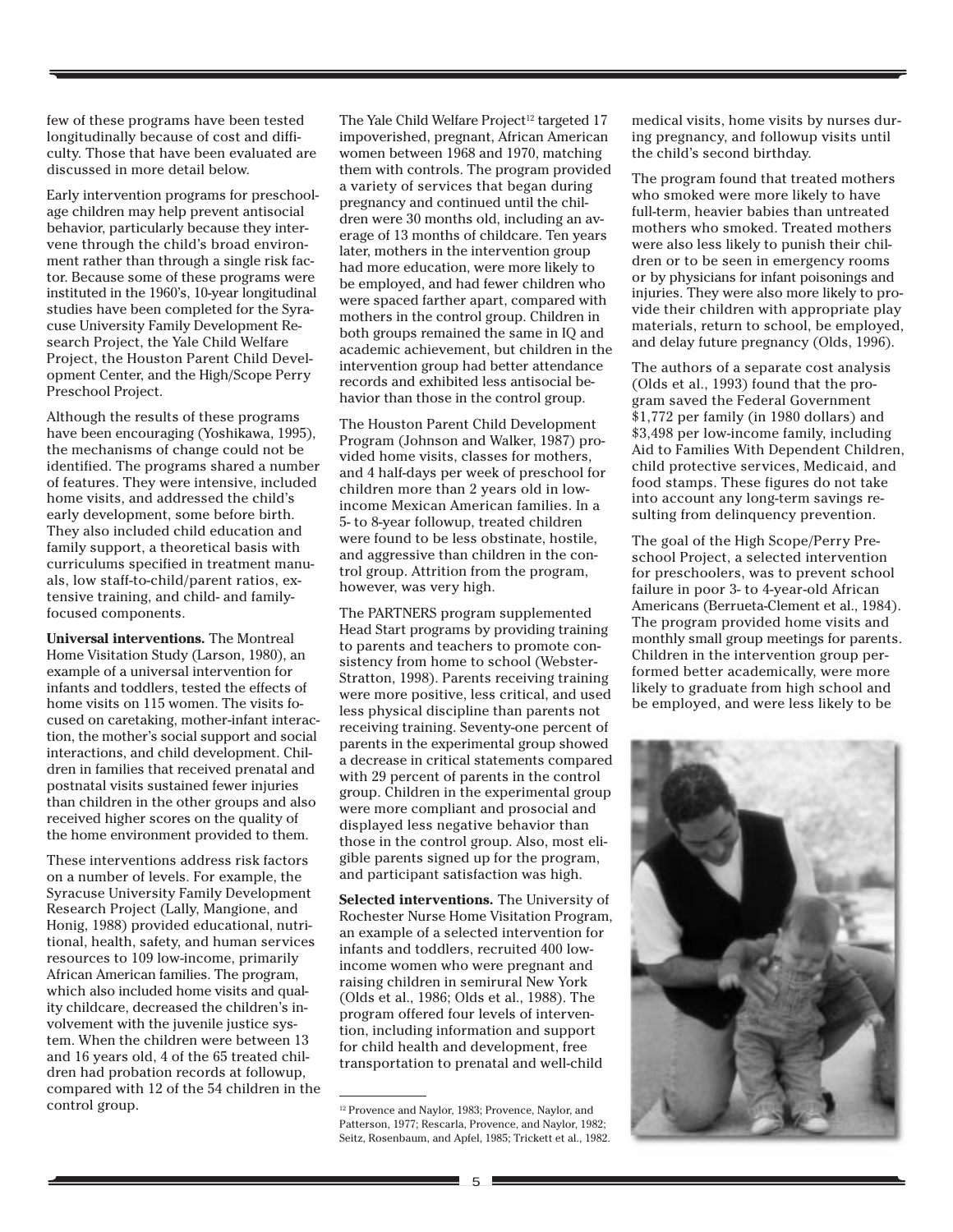few of these programs have been tested longitudinally because of cost and difficulty. Those that have been evaluated are discussed in more detail below.

Early intervention programs for preschoolage children may help prevent antisocial behavior, particularly because they intervene through the child's broad environment rather than through a single risk factor. Because some of these programs were instituted in the 1960's, 10-year longitudinal studies have been completed for the Syracuse University Family Development Research Project, the Yale Child Welfare Project, the Houston Parent Child Development Center, and the High/Scope Perry Preschool Project.

Although the results of these programs have been encouraging (Yoshikawa, 1995), the mechanisms of change could not be identified. The programs shared a number of features. They were intensive, included home visits, and addressed the child's early development, some before birth. They also included child education and family support, a theoretical basis with curriculums specified in treatment manuals, low staff-to-child/parent ratios, extensive training, and child- and familyfocused components.

**Universal interventions.** The Montreal Home Visitation Study (Larson, 1980), an example of a universal intervention for infants and toddlers, tested the effects of home visits on 115 women. The visits focused on caretaking, mother-infant interaction, the mother's social support and social interactions, and child development. Children in families that received prenatal and postnatal visits sustained fewer injuries than children in the other groups and also received higher scores on the quality of the home environment provided to them.

These interventions address risk factors on a number of levels. For example, the Syracuse University Family Development Research Project (Lally, Mangione, and Honig, 1988) provided educational, nutritional, health, safety, and human services resources to 109 low-income, primarily African American families. The program, which also included home visits and quality childcare, decreased the children's involvement with the juvenile justice system. When the children were between 13 and 16 years old, 4 of the 65 treated children had probation records at followup, compared with 12 of the 54 children in the control group.

The Yale Child Welfare Project<sup>12</sup> targeted 17 impoverished, pregnant, African American women between 1968 and 1970, matching them with controls. The program provided a variety of services that began during pregnancy and continued until the children were 30 months old, including an average of 13 months of childcare. Ten years later, mothers in the intervention group had more education, were more likely to be employed, and had fewer children who were spaced farther apart, compared with mothers in the control group. Children in both groups remained the same in IQ and academic achievement, but children in the intervention group had better attendance records and exhibited less antisocial behavior than those in the control group.

The Houston Parent Child Development Program (Johnson and Walker, 1987) provided home visits, classes for mothers, and 4 half-days per week of preschool for children more than 2 years old in lowincome Mexican American families. In a 5- to 8-year followup, treated children were found to be less obstinate, hostile, and aggressive than children in the control group. Attrition from the program, however, was very high.

The PARTNERS program supplemented Head Start programs by providing training to parents and teachers to promote consistency from home to school (Webster-Stratton, 1998). Parents receiving training were more positive, less critical, and used less physical discipline than parents not receiving training. Seventy-one percent of parents in the experimental group showed a decrease in critical statements compared with 29 percent of parents in the control group. Children in the experimental group were more compliant and prosocial and displayed less negative behavior than those in the control group. Also, most eligible parents signed up for the program, and participant satisfaction was high.

**Selected interventions.** The University of Rochester Nurse Home Visitation Program, an example of a selected intervention for infants and toddlers, recruited 400 lowincome women who were pregnant and raising children in semirural New York (Olds et al., 1986; Olds et al., 1988). The program offered four levels of intervention, including information and support for child health and development, free transportation to prenatal and well-child

medical visits, home visits by nurses during pregnancy, and followup visits until the child's second birthday.

The program found that treated mothers who smoked were more likely to have full-term, heavier babies than untreated mothers who smoked. Treated mothers were also less likely to punish their children or to be seen in emergency rooms or by physicians for infant poisonings and injuries. They were also more likely to provide their children with appropriate play materials, return to school, be employed, and delay future pregnancy (Olds, 1996).

The authors of a separate cost analysis (Olds et al., 1993) found that the program saved the Federal Government \$1,772 per family (in 1980 dollars) and \$3,498 per low-income family, including Aid to Families With Dependent Children, child protective services, Medicaid, and food stamps. These figures do not take into account any long-term savings resulting from delinquency prevention.

The goal of the High Scope/Perry Preschool Project, a selected intervention for preschoolers, was to prevent school failure in poor 3- to 4-year-old African Americans (Berrueta-Clement et al., 1984). The program provided home visits and monthly small group meetings for parents. Children in the intervention group performed better academically, were more likely to graduate from high school and be employed, and were less likely to be



<sup>12</sup> Provence and Naylor, 1983; Provence, Naylor, and Patterson, 1977; Rescarla, Provence, and Naylor, 1982; Seitz, Rosenbaum, and Apfel, 1985; Trickett et al., 1982.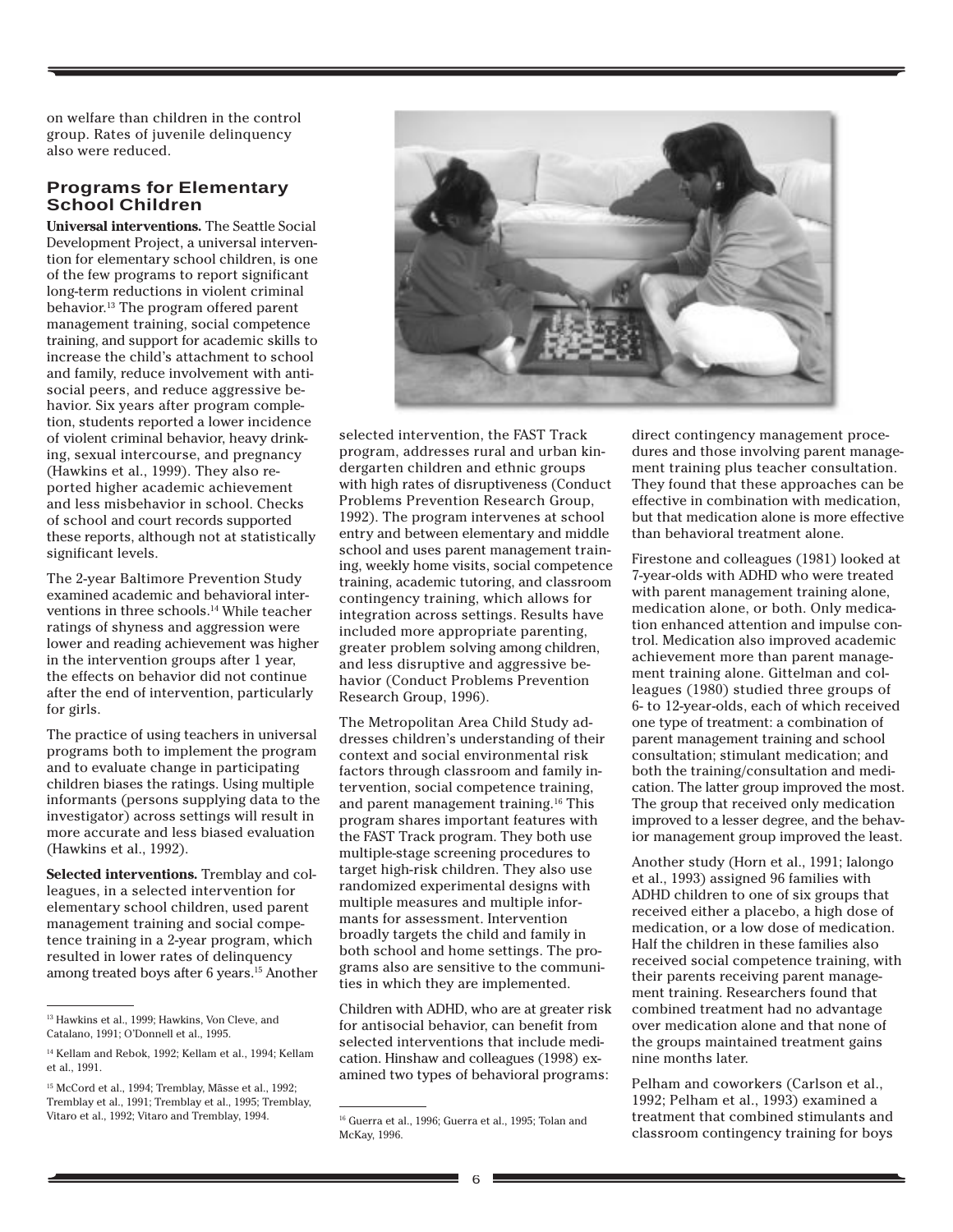on welfare than children in the control group. Rates of juvenile delinquency also were reduced.

## **Programs for Elementary School Children**

**Universal interventions.** The Seattle Social Development Project, a universal intervention for elementary school children, is one of the few programs to report significant long-term reductions in violent criminal behavior.13 The program offered parent management training, social competence training, and support for academic skills to increase the child's attachment to school and family, reduce involvement with antisocial peers, and reduce aggressive behavior. Six years after program completion, students reported a lower incidence of violent criminal behavior, heavy drinking, sexual intercourse, and pregnancy (Hawkins et al., 1999). They also reported higher academic achievement and less misbehavior in school. Checks of school and court records supported these reports, although not at statistically significant levels.

The 2-year Baltimore Prevention Study examined academic and behavioral interventions in three schools.<sup>14</sup> While teacher ratings of shyness and aggression were lower and reading achievement was higher in the intervention groups after 1 year, the effects on behavior did not continue after the end of intervention, particularly for girls.

The practice of using teachers in universal programs both to implement the program and to evaluate change in participating children biases the ratings. Using multiple informants (persons supplying data to the investigator) across settings will result in more accurate and less biased evaluation (Hawkins et al., 1992).

**Selected interventions.** Tremblay and colleagues, in a selected intervention for elementary school children, used parent management training and social competence training in a 2-year program, which resulted in lower rates of delinquency among treated boys after 6 years.15 Another



selected intervention, the FAST Track program, addresses rural and urban kindergarten children and ethnic groups with high rates of disruptiveness (Conduct Problems Prevention Research Group, 1992). The program intervenes at school entry and between elementary and middle school and uses parent management training, weekly home visits, social competence training, academic tutoring, and classroom contingency training, which allows for integration across settings. Results have included more appropriate parenting, greater problem solving among children, and less disruptive and aggressive behavior (Conduct Problems Prevention Research Group, 1996).

The Metropolitan Area Child Study addresses children's understanding of their context and social environmental risk factors through classroom and family intervention, social competence training, and parent management training.16 This program shares important features with the FAST Track program. They both use multiple-stage screening procedures to target high-risk children. They also use randomized experimental designs with multiple measures and multiple informants for assessment. Intervention broadly targets the child and family in both school and home settings. The programs also are sensitive to the communities in which they are implemented.

Children with ADHD, who are at greater risk for antisocial behavior, can benefit from selected interventions that include medication. Hinshaw and colleagues (1998) examined two types of behavioral programs:

direct contingency management procedures and those involving parent management training plus teacher consultation. They found that these approaches can be effective in combination with medication, but that medication alone is more effective than behavioral treatment alone.

Firestone and colleagues (1981) looked at 7-year-olds with ADHD who were treated with parent management training alone, medication alone, or both. Only medication enhanced attention and impulse control. Medication also improved academic achievement more than parent management training alone. Gittelman and colleagues (1980) studied three groups of 6- to 12-year-olds, each of which received one type of treatment: a combination of parent management training and school consultation; stimulant medication; and both the training/consultation and medication. The latter group improved the most. The group that received only medication improved to a lesser degree, and the behavior management group improved the least.

Another study (Horn et al., 1991; Ialongo et al., 1993) assigned 96 families with ADHD children to one of six groups that received either a placebo, a high dose of medication, or a low dose of medication. Half the children in these families also received social competence training, with their parents receiving parent management training. Researchers found that combined treatment had no advantage over medication alone and that none of the groups maintained treatment gains nine months later.

Pelham and coworkers (Carlson et al., 1992; Pelham et al., 1993) examined a treatment that combined stimulants and classroom contingency training for boys

<sup>&</sup>lt;sup>13</sup> Hawkins et al., 1999; Hawkins, Von Cleve, and Catalano, 1991; O'Donnell et al., 1995.

<sup>14</sup> Kellam and Rebok, 1992; Kellam et al., 1994; Kellam et al., 1991.

<sup>&</sup>lt;sup>15</sup> McCord et al., 1994; Tremblay, Mâsse et al., 1992; Tremblay et al., 1991; Tremblay et al., 1995; Tremblay, Vitaro et al., 1992; Vitaro and Tremblay, 1994. 16 Guerra et al., 1996; Guerra et al., 1995; Tolan and

McKay, 1996.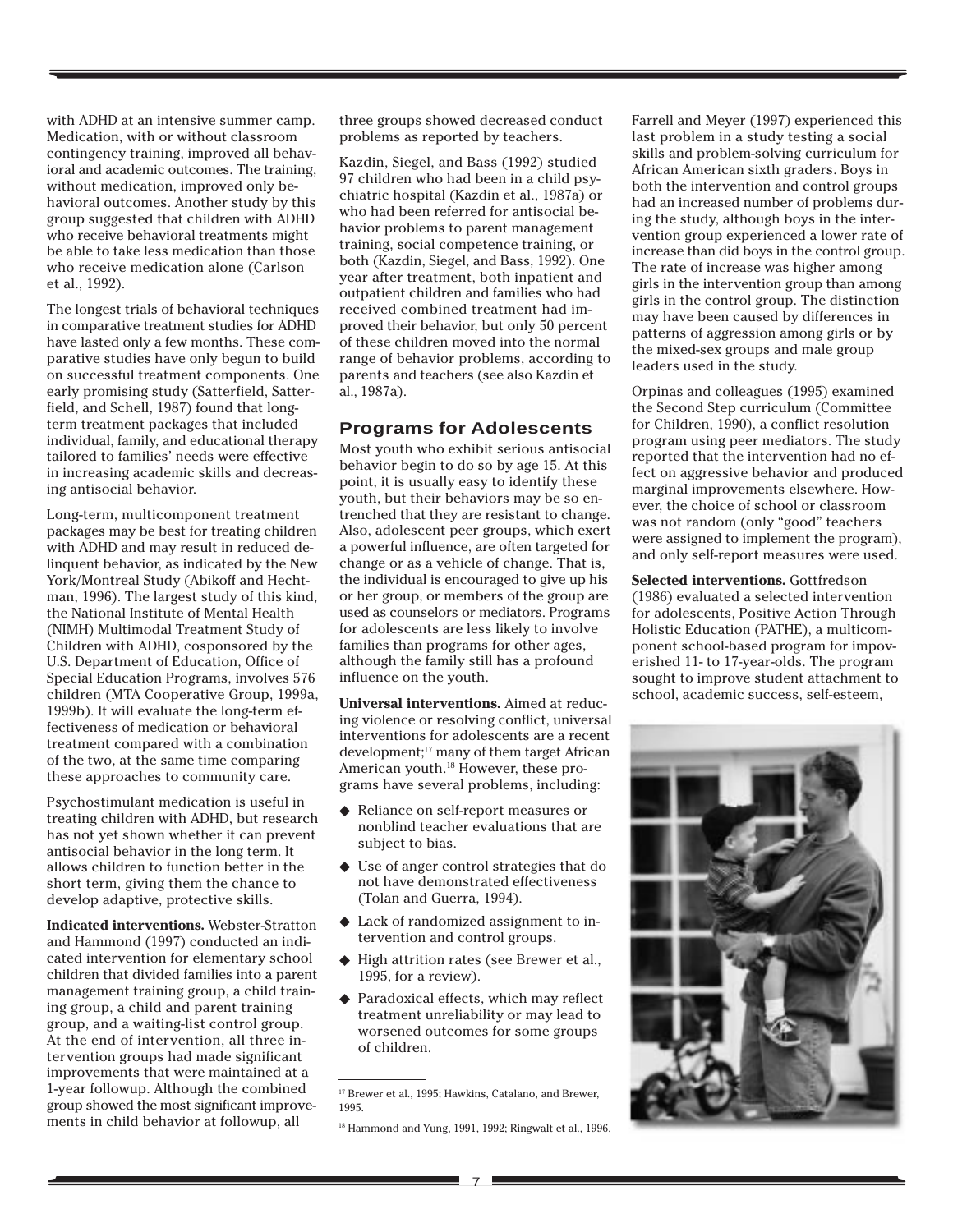with ADHD at an intensive summer camp. Medication, with or without classroom contingency training, improved all behavioral and academic outcomes. The training, without medication, improved only behavioral outcomes. Another study by this group suggested that children with ADHD who receive behavioral treatments might be able to take less medication than those who receive medication alone (Carlson et al., 1992).

The longest trials of behavioral techniques in comparative treatment studies for ADHD have lasted only a few months. These comparative studies have only begun to build on successful treatment components. One early promising study (Satterfield, Satterfield, and Schell, 1987) found that longterm treatment packages that included individual, family, and educational therapy tailored to families' needs were effective in increasing academic skills and decreasing antisocial behavior.

Long-term, multicomponent treatment packages may be best for treating children with ADHD and may result in reduced delinquent behavior, as indicated by the New York/Montreal Study (Abikoff and Hechtman, 1996). The largest study of this kind, the National Institute of Mental Health (NIMH) Multimodal Treatment Study of Children with ADHD, cosponsored by the U.S. Department of Education, Office of Special Education Programs, involves 576 children (MTA Cooperative Group, 1999a, 1999b). It will evaluate the long-term effectiveness of medication or behavioral treatment compared with a combination of the two, at the same time comparing these approaches to community care.

Psychostimulant medication is useful in treating children with ADHD, but research has not yet shown whether it can prevent antisocial behavior in the long term. It allows children to function better in the short term, giving them the chance to develop adaptive, protective skills.

**Indicated interventions.** Webster-Stratton and Hammond (1997) conducted an indicated intervention for elementary school children that divided families into a parent management training group, a child training group, a child and parent training group, and a waiting-list control group. At the end of intervention, all three intervention groups had made significant improvements that were maintained at a 1-year followup. Although the combined group showed the most significant improvements in child behavior at followup, all

three groups showed decreased conduct problems as reported by teachers.

Kazdin, Siegel, and Bass (1992) studied 97 children who had been in a child psychiatric hospital (Kazdin et al., 1987a) or who had been referred for antisocial behavior problems to parent management training, social competence training, or both (Kazdin, Siegel, and Bass, 1992). One year after treatment, both inpatient and outpatient children and families who had received combined treatment had improved their behavior, but only 50 percent of these children moved into the normal range of behavior problems, according to parents and teachers (see also Kazdin et al., 1987a).

### **Programs for Adolescents**

Most youth who exhibit serious antisocial behavior begin to do so by age 15. At this point, it is usually easy to identify these youth, but their behaviors may be so entrenched that they are resistant to change. Also, adolescent peer groups, which exert a powerful influence, are often targeted for change or as a vehicle of change. That is, the individual is encouraged to give up his or her group, or members of the group are used as counselors or mediators. Programs for adolescents are less likely to involve families than programs for other ages, although the family still has a profound influence on the youth.

**Universal interventions.** Aimed at reducing violence or resolving conflict, universal interventions for adolescents are a recent development;17 many of them target African American youth.18 However, these programs have several problems, including:

- ◆ Reliance on self-report measures or nonblind teacher evaluations that are subject to bias.
- ◆ Use of anger control strategies that do not have demonstrated effectiveness (Tolan and Guerra, 1994).
- ◆ Lack of randomized assignment to intervention and control groups.
- ◆ High attrition rates (see Brewer et al., 1995, for a review).
- ◆ Paradoxical effects, which may reflect treatment unreliability or may lead to worsened outcomes for some groups of children.

Farrell and Meyer (1997) experienced this last problem in a study testing a social skills and problem-solving curriculum for African American sixth graders. Boys in both the intervention and control groups had an increased number of problems during the study, although boys in the intervention group experienced a lower rate of increase than did boys in the control group. The rate of increase was higher among girls in the intervention group than among girls in the control group. The distinction may have been caused by differences in patterns of aggression among girls or by the mixed-sex groups and male group leaders used in the study.

Orpinas and colleagues (1995) examined the Second Step curriculum (Committee for Children, 1990), a conflict resolution program using peer mediators. The study reported that the intervention had no effect on aggressive behavior and produced marginal improvements elsewhere. However, the choice of school or classroom was not random (only "good" teachers were assigned to implement the program), and only self-report measures were used.

**Selected interventions.** Gottfredson (1986) evaluated a selected intervention for adolescents, Positive Action Through Holistic Education (PATHE), a multicomponent school-based program for impoverished 11- to 17-year-olds. The program sought to improve student attachment to school, academic success, self-esteem,



<sup>&</sup>lt;sup>17</sup> Brewer et al., 1995; Hawkins, Catalano, and Brewer, 1995.

<sup>&</sup>lt;sup>18</sup> Hammond and Yung, 1991, 1992; Ringwalt et al., 1996.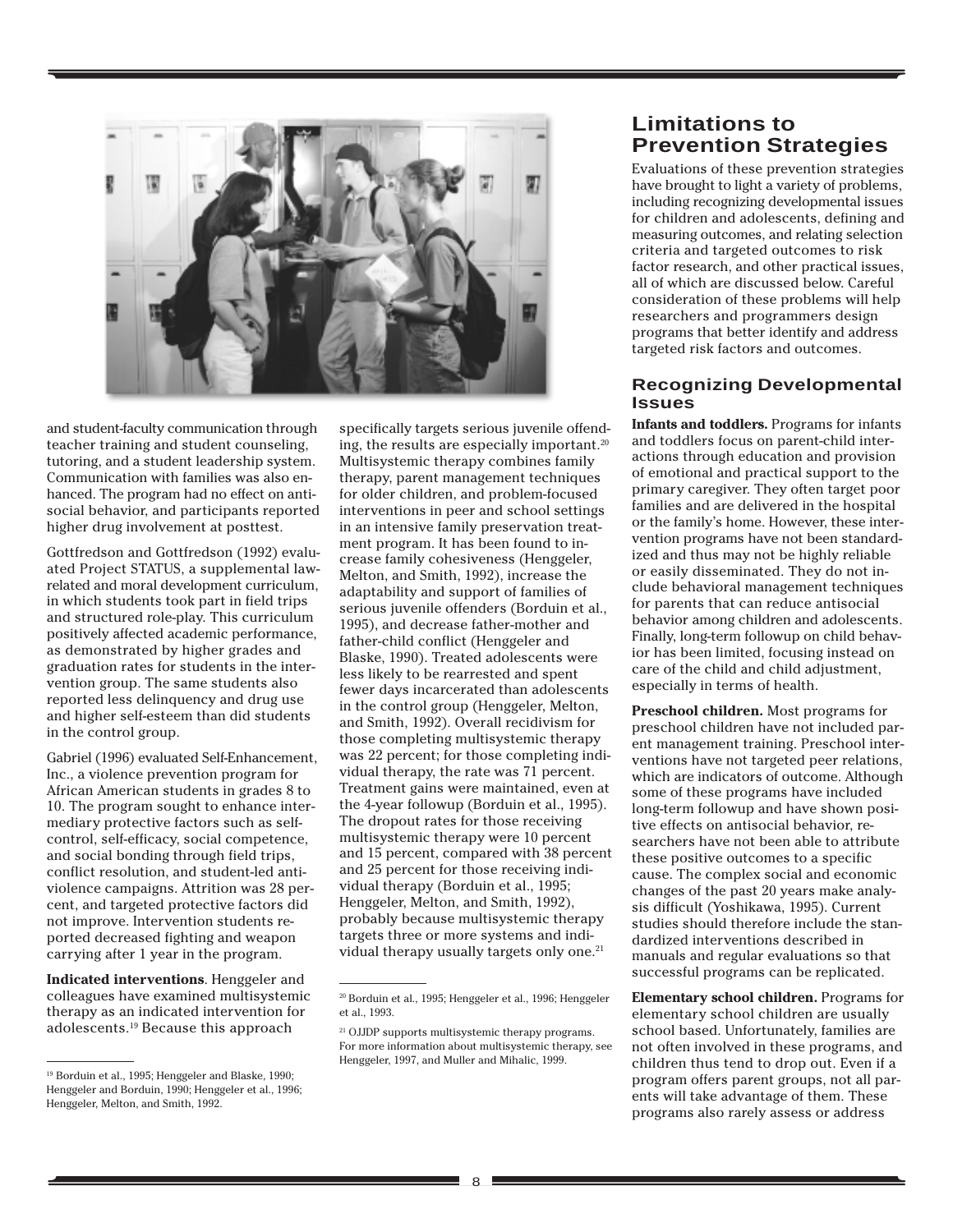

and student-faculty communication through teacher training and student counseling, tutoring, and a student leadership system. Communication with families was also enhanced. The program had no effect on antisocial behavior, and participants reported higher drug involvement at posttest.

Gottfredson and Gottfredson (1992) evaluated Project STATUS, a supplemental lawrelated and moral development curriculum, in which students took part in field trips and structured role-play. This curriculum positively affected academic performance, as demonstrated by higher grades and graduation rates for students in the intervention group. The same students also reported less delinquency and drug use and higher self-esteem than did students in the control group.

Gabriel (1996) evaluated Self-Enhancement, Inc., a violence prevention program for African American students in grades 8 to 10. The program sought to enhance intermediary protective factors such as selfcontrol, self-efficacy, social competence, and social bonding through field trips, conflict resolution, and student-led antiviolence campaigns. Attrition was 28 percent, and targeted protective factors did not improve. Intervention students reported decreased fighting and weapon carrying after 1 year in the program.

**Indicated interventions**. Henggeler and colleagues have examined multisystemic therapy as an indicated intervention for adolescents.19 Because this approach

specifically targets serious juvenile offending, the results are especially important.<sup>20</sup> Multisystemic therapy combines family therapy, parent management techniques for older children, and problem-focused interventions in peer and school settings in an intensive family preservation treatment program. It has been found to increase family cohesiveness (Henggeler, Melton, and Smith, 1992), increase the adaptability and support of families of serious juvenile offenders (Borduin et al., 1995), and decrease father-mother and father-child conflict (Henggeler and Blaske, 1990). Treated adolescents were less likely to be rearrested and spent fewer days incarcerated than adolescents in the control group (Henggeler, Melton, and Smith, 1992). Overall recidivism for those completing multisystemic therapy was 22 percent; for those completing individual therapy, the rate was 71 percent. Treatment gains were maintained, even at the 4-year followup (Borduin et al., 1995). The dropout rates for those receiving multisystemic therapy were 10 percent and 15 percent, compared with 38 percent and 25 percent for those receiving individual therapy (Borduin et al., 1995; Henggeler, Melton, and Smith, 1992), probably because multisystemic therapy targets three or more systems and individual therapy usually targets only one.<sup>21</sup>

## **Limitations to Prevention Strategies**

Evaluations of these prevention strategies have brought to light a variety of problems, including recognizing developmental issues for children and adolescents, defining and measuring outcomes, and relating selection criteria and targeted outcomes to risk factor research, and other practical issues, all of which are discussed below. Careful consideration of these problems will help researchers and programmers design programs that better identify and address targeted risk factors and outcomes.

#### **Recognizing Developmental Issues**

**Infants and toddlers.** Programs for infants and toddlers focus on parent-child interactions through education and provision of emotional and practical support to the primary caregiver. They often target poor families and are delivered in the hospital or the family's home. However, these intervention programs have not been standardized and thus may not be highly reliable or easily disseminated. They do not include behavioral management techniques for parents that can reduce antisocial behavior among children and adolescents. Finally, long-term followup on child behavior has been limited, focusing instead on care of the child and child adjustment, especially in terms of health.

**Preschool children.** Most programs for preschool children have not included parent management training. Preschool interventions have not targeted peer relations, which are indicators of outcome. Although some of these programs have included long-term followup and have shown positive effects on antisocial behavior, researchers have not been able to attribute these positive outcomes to a specific cause. The complex social and economic changes of the past 20 years make analysis difficult (Yoshikawa, 1995). Current studies should therefore include the standardized interventions described in manuals and regular evaluations so that successful programs can be replicated.

**Elementary school children.** Programs for elementary school children are usually school based. Unfortunately, families are not often involved in these programs, and children thus tend to drop out. Even if a program offers parent groups, not all parents will take advantage of them. These programs also rarely assess or address

<sup>19</sup> Borduin et al., 1995; Henggeler and Blaske, 1990; Henggeler and Borduin, 1990; Henggeler et al., 1996; Henggeler, Melton, and Smith, 1992.

<sup>20</sup> Borduin et al., 1995; Henggeler et al., 1996; Henggeler et al., 1993.

<sup>&</sup>lt;sup>21</sup> OJJDP supports multisystemic therapy programs. For more information about multisystemic therapy, see Henggeler, 1997, and Muller and Mihalic, 1999.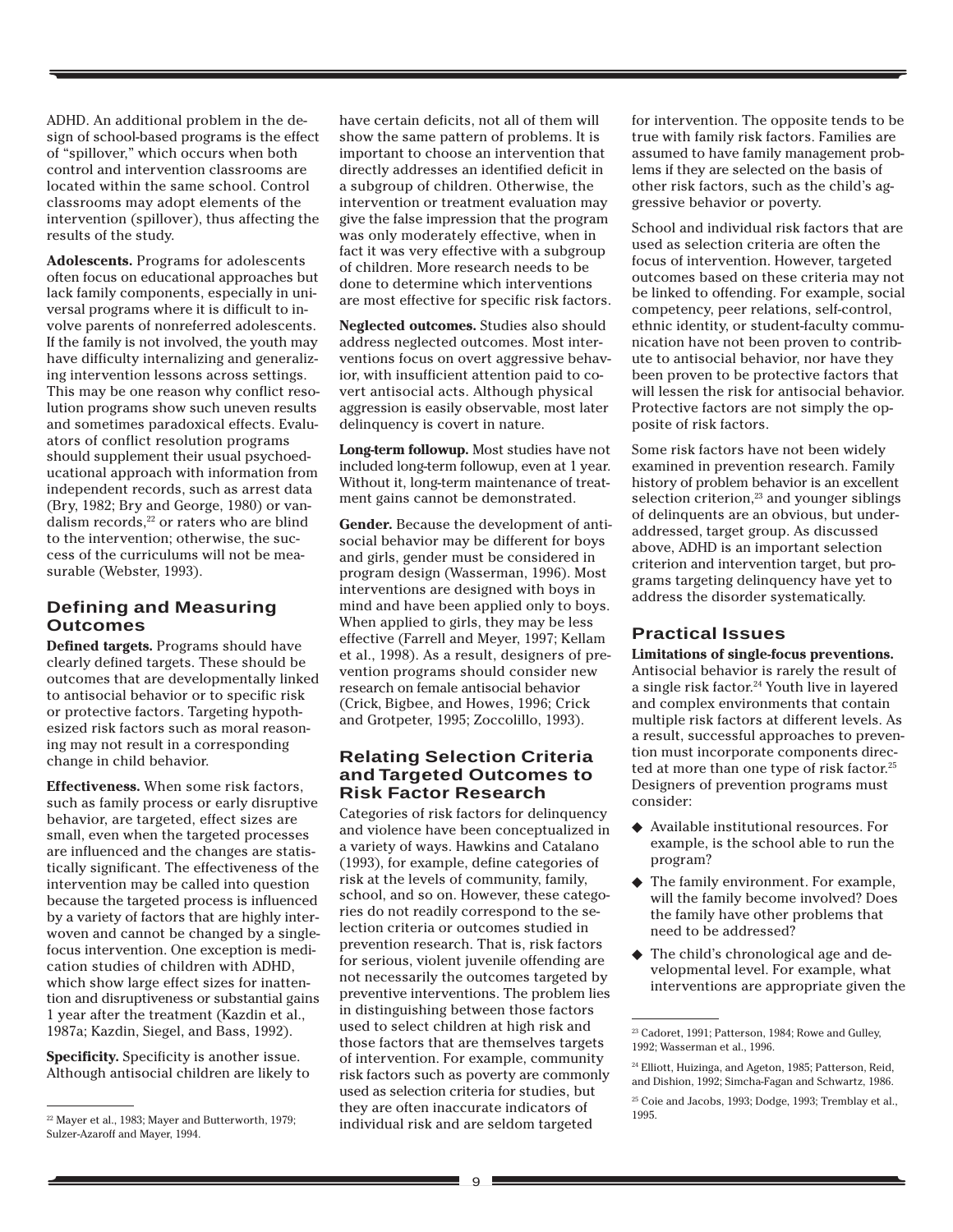ADHD. An additional problem in the design of school-based programs is the effect of "spillover," which occurs when both control and intervention classrooms are located within the same school. Control classrooms may adopt elements of the intervention (spillover), thus affecting the results of the study.

**Adolescents.** Programs for adolescents often focus on educational approaches but lack family components, especially in universal programs where it is difficult to involve parents of nonreferred adolescents. If the family is not involved, the youth may have difficulty internalizing and generalizing intervention lessons across settings. This may be one reason why conflict resolution programs show such uneven results and sometimes paradoxical effects. Evaluators of conflict resolution programs should supplement their usual psychoeducational approach with information from independent records, such as arrest data (Bry, 1982; Bry and George, 1980) or vandalism records,<sup>22</sup> or raters who are blind to the intervention; otherwise, the success of the curriculums will not be measurable (Webster, 1993).

## **Defining and Measuring Outcomes**

**Defined targets.** Programs should have clearly defined targets. These should be outcomes that are developmentally linked to antisocial behavior or to specific risk or protective factors. Targeting hypothesized risk factors such as moral reasoning may not result in a corresponding change in child behavior.

**Effectiveness.** When some risk factors, such as family process or early disruptive behavior, are targeted, effect sizes are small, even when the targeted processes are influenced and the changes are statistically significant. The effectiveness of the intervention may be called into question because the targeted process is influenced by a variety of factors that are highly interwoven and cannot be changed by a singlefocus intervention. One exception is medication studies of children with ADHD, which show large effect sizes for inattention and disruptiveness or substantial gains 1 year after the treatment (Kazdin et al., 1987a; Kazdin, Siegel, and Bass, 1992).

**Specificity.** Specificity is another issue. Although antisocial children are likely to have certain deficits, not all of them will show the same pattern of problems. It is important to choose an intervention that directly addresses an identified deficit in a subgroup of children. Otherwise, the intervention or treatment evaluation may give the false impression that the program was only moderately effective, when in fact it was very effective with a subgroup of children. More research needs to be done to determine which interventions are most effective for specific risk factors.

**Neglected outcomes.** Studies also should address neglected outcomes. Most interventions focus on overt aggressive behavior, with insufficient attention paid to covert antisocial acts. Although physical aggression is easily observable, most later delinquency is covert in nature.

**Long-term followup.** Most studies have not included long-term followup, even at 1 year. Without it, long-term maintenance of treatment gains cannot be demonstrated.

**Gender.** Because the development of antisocial behavior may be different for boys and girls, gender must be considered in program design (Wasserman, 1996). Most interventions are designed with boys in mind and have been applied only to boys. When applied to girls, they may be less effective (Farrell and Meyer, 1997; Kellam et al., 1998). As a result, designers of prevention programs should consider new research on female antisocial behavior (Crick, Bigbee, and Howes, 1996; Crick and Grotpeter, 1995; Zoccolillo, 1993).

#### **Relating Selection Criteria and Targeted Outcomes to Risk Factor Research**

Categories of risk factors for delinquency and violence have been conceptualized in a variety of ways. Hawkins and Catalano (1993), for example, define categories of risk at the levels of community, family, school, and so on. However, these categories do not readily correspond to the selection criteria or outcomes studied in prevention research. That is, risk factors for serious, violent juvenile offending are not necessarily the outcomes targeted by preventive interventions. The problem lies in distinguishing between those factors used to select children at high risk and those factors that are themselves targets of intervention. For example, community risk factors such as poverty are commonly used as selection criteria for studies, but they are often inaccurate indicators of individual risk and are seldom targeted <sup>22</sup> Mayer et al., 1983; Mayer and Butterworth, 1979;<br>individual risk and are seldom targeted

for intervention. The opposite tends to be true with family risk factors. Families are assumed to have family management problems if they are selected on the basis of other risk factors, such as the child's aggressive behavior or poverty.

School and individual risk factors that are used as selection criteria are often the focus of intervention. However, targeted outcomes based on these criteria may not be linked to offending. For example, social competency, peer relations, self-control, ethnic identity, or student-faculty communication have not been proven to contribute to antisocial behavior, nor have they been proven to be protective factors that will lessen the risk for antisocial behavior. Protective factors are not simply the opposite of risk factors.

Some risk factors have not been widely examined in prevention research. Family history of problem behavior is an excellent selection criterion, $23$  and younger siblings of delinquents are an obvious, but underaddressed, target group. As discussed above, ADHD is an important selection criterion and intervention target, but programs targeting delinquency have yet to address the disorder systematically.

## **Practical Issues**

**Limitations of single-focus preventions.**

Antisocial behavior is rarely the result of a single risk factor.24 Youth live in layered and complex environments that contain multiple risk factors at different levels. As a result, successful approaches to prevention must incorporate components directed at more than one type of risk factor.<sup>25</sup> Designers of prevention programs must consider:

- ◆ Available institutional resources. For example, is the school able to run the program?
- ◆ The family environment. For example, will the family become involved? Does the family have other problems that need to be addressed?
- ◆ The child's chronological age and developmental level. For example, what interventions are appropriate given the

Sulzer-Azaroff and Mayer, 1994.

<sup>23</sup> Cadoret, 1991; Patterson, 1984; Rowe and Gulley, 1992; Wasserman et al., 1996.

<sup>&</sup>lt;sup>24</sup> Elliott, Huizinga, and Ageton, 1985; Patterson, Reid, and Dishion, 1992; Simcha-Fagan and Schwartz, 1986.

<sup>&</sup>lt;sup>25</sup> Coie and Jacobs, 1993; Dodge, 1993; Tremblay et al.,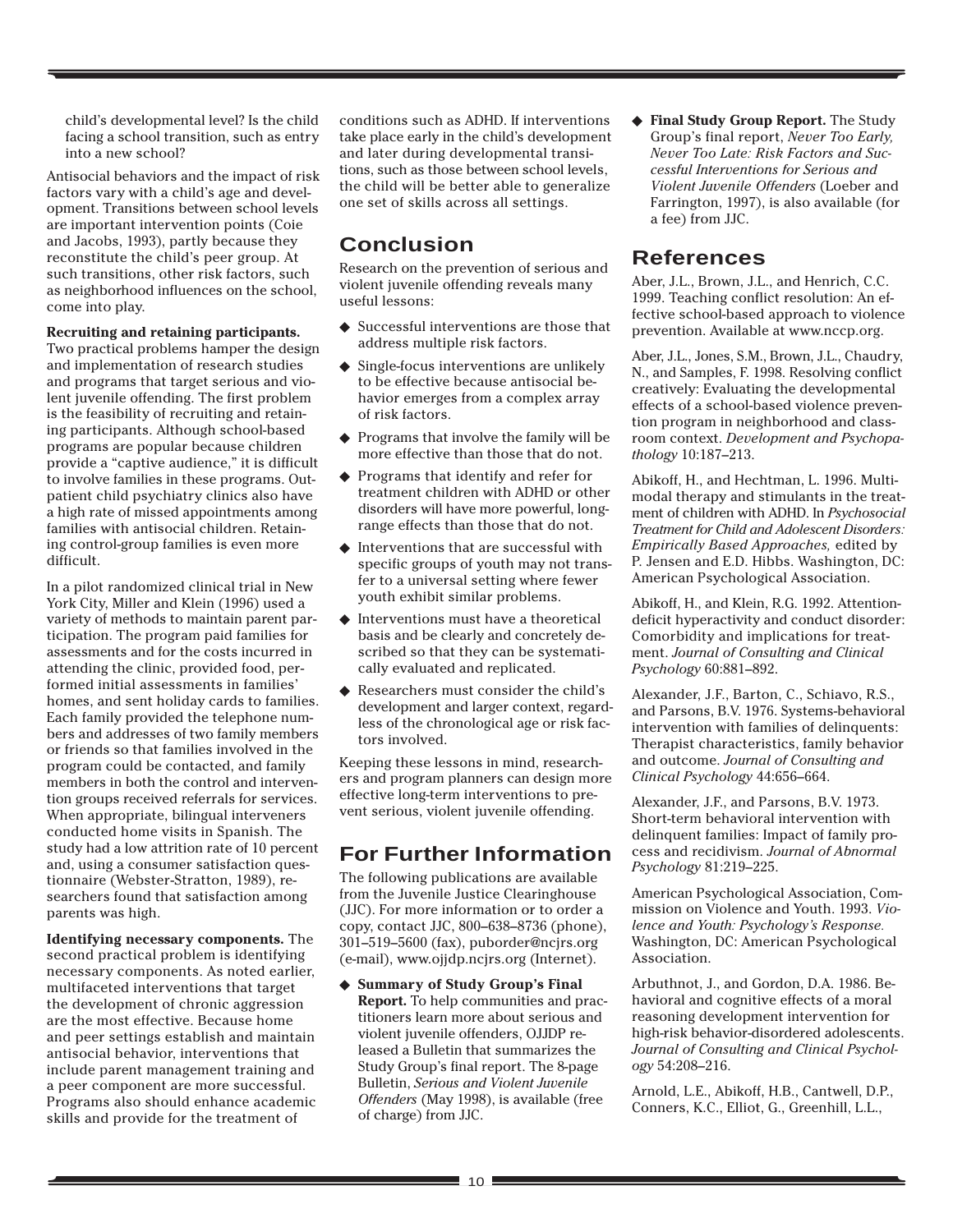child's developmental level? Is the child facing a school transition, such as entry into a new school?

Antisocial behaviors and the impact of risk factors vary with a child's age and development. Transitions between school levels are important intervention points (Coie and Jacobs, 1993), partly because they reconstitute the child's peer group. At such transitions, other risk factors, such as neighborhood influences on the school, come into play.

#### **Recruiting and retaining participants.**

Two practical problems hamper the design and implementation of research studies and programs that target serious and violent juvenile offending. The first problem is the feasibility of recruiting and retaining participants. Although school-based programs are popular because children provide a "captive audience," it is difficult to involve families in these programs. Outpatient child psychiatry clinics also have a high rate of missed appointments among families with antisocial children. Retaining control-group families is even more difficult.

In a pilot randomized clinical trial in New York City, Miller and Klein (1996) used a variety of methods to maintain parent participation. The program paid families for assessments and for the costs incurred in attending the clinic, provided food, performed initial assessments in families' homes, and sent holiday cards to families. Each family provided the telephone numbers and addresses of two family members or friends so that families involved in the program could be contacted, and family members in both the control and intervention groups received referrals for services. When appropriate, bilingual interveners conducted home visits in Spanish. The study had a low attrition rate of 10 percent and, using a consumer satisfaction questionnaire (Webster-Stratton, 1989), researchers found that satisfaction among parents was high.

**Identifying necessary components.** The second practical problem is identifying necessary components. As noted earlier, multifaceted interventions that target the development of chronic aggression are the most effective. Because home and peer settings establish and maintain antisocial behavior, interventions that include parent management training and a peer component are more successful. Programs also should enhance academic skills and provide for the treatment of

conditions such as ADHD. If interventions take place early in the child's development and later during developmental transitions, such as those between school levels, the child will be better able to generalize one set of skills across all settings.

# **Conclusion**

Research on the prevention of serious and violent juvenile offending reveals many useful lessons:

- ◆ Successful interventions are those that address multiple risk factors.
- ◆ Single-focus interventions are unlikely to be effective because antisocial behavior emerges from a complex array of risk factors.
- ◆ Programs that involve the family will be more effective than those that do not.
- ◆ Programs that identify and refer for treatment children with ADHD or other disorders will have more powerful, longrange effects than those that do not.
- $\blacklozenge$  Interventions that are successful with specific groups of youth may not transfer to a universal setting where fewer youth exhibit similar problems.
- ◆ Interventions must have a theoretical basis and be clearly and concretely described so that they can be systematically evaluated and replicated.
- ◆ Researchers must consider the child's development and larger context, regardless of the chronological age or risk factors involved.

Keeping these lessons in mind, researchers and program planners can design more effective long-term interventions to prevent serious, violent juvenile offending.

# **For Further Information**

The following publications are available from the Juvenile Justice Clearinghouse (JJC). For more information or to order a copy, contact JJC, 800–638–8736 (phone), 301–519–5600 (fax), puborder@ncjrs.org (e-mail), www.ojjdp.ncjrs.org (Internet).

**Summary of Study Group's Final Report.** To help communities and practitioners learn more about serious and violent juvenile offenders, OJJDP released a Bulletin that summarizes the Study Group's final report. The 8-page Bulletin, *Serious and Violent Juvenile Offenders* (May 1998), is available (free of charge) from JJC.

◆ **Final Study Group Report.** The Study Group's final report, *Never Too Early, Never Too Late: Risk Factors and Successful Interventions for Serious and Violent Juvenile Offenders* (Loeber and Farrington, 1997), is also available (for a fee) from JJC.

## **References**

Aber, J.L., Brown, J.L., and Henrich, C.C. 1999. Teaching conflict resolution: An effective school-based approach to violence prevention. Available at www.nccp.org.

Aber, J.L., Jones, S.M., Brown, J.L., Chaudry, N., and Samples, F. 1998. Resolving conflict creatively: Evaluating the developmental effects of a school-based violence prevention program in neighborhood and classroom context. *Development and Psychopathology* 10:187–213.

Abikoff, H., and Hechtman, L. 1996. Multimodal therapy and stimulants in the treatment of children with ADHD. In *Psychosocial Treatment for Child and Adolescent Disorders: Empirically Based Approaches,* edited by P. Jensen and E.D. Hibbs. Washington, DC: American Psychological Association.

Abikoff, H., and Klein, R.G. 1992. Attentiondeficit hyperactivity and conduct disorder: Comorbidity and implications for treatment. *Journal of Consulting and Clinical Psychology* 60:881–892.

Alexander, J.F., Barton, C., Schiavo, R.S., and Parsons, B.V. 1976. Systems-behavioral intervention with families of delinquents: Therapist characteristics, family behavior and outcome. *Journal of Consulting and Clinical Psychology* 44:656–664.

Alexander, J.F., and Parsons, B.V. 1973. Short-term behavioral intervention with delinquent families: Impact of family process and recidivism. *Journal of Abnormal Psychology* 81:219–225.

American Psychological Association, Commission on Violence and Youth. 1993. *Violence and Youth: Psychology's Response.* Washington, DC: American Psychological Association.

Arbuthnot, J., and Gordon, D.A. 1986. Behavioral and cognitive effects of a moral reasoning development intervention for high-risk behavior-disordered adolescents. *Journal of Consulting and Clinical Psychology* 54:208–216.

Arnold, L.E., Abikoff, H.B., Cantwell, D.P., Conners, K.C., Elliot, G., Greenhill, L.L.,

<u> 1989 - Johann Barnett, fransk politiker (</u>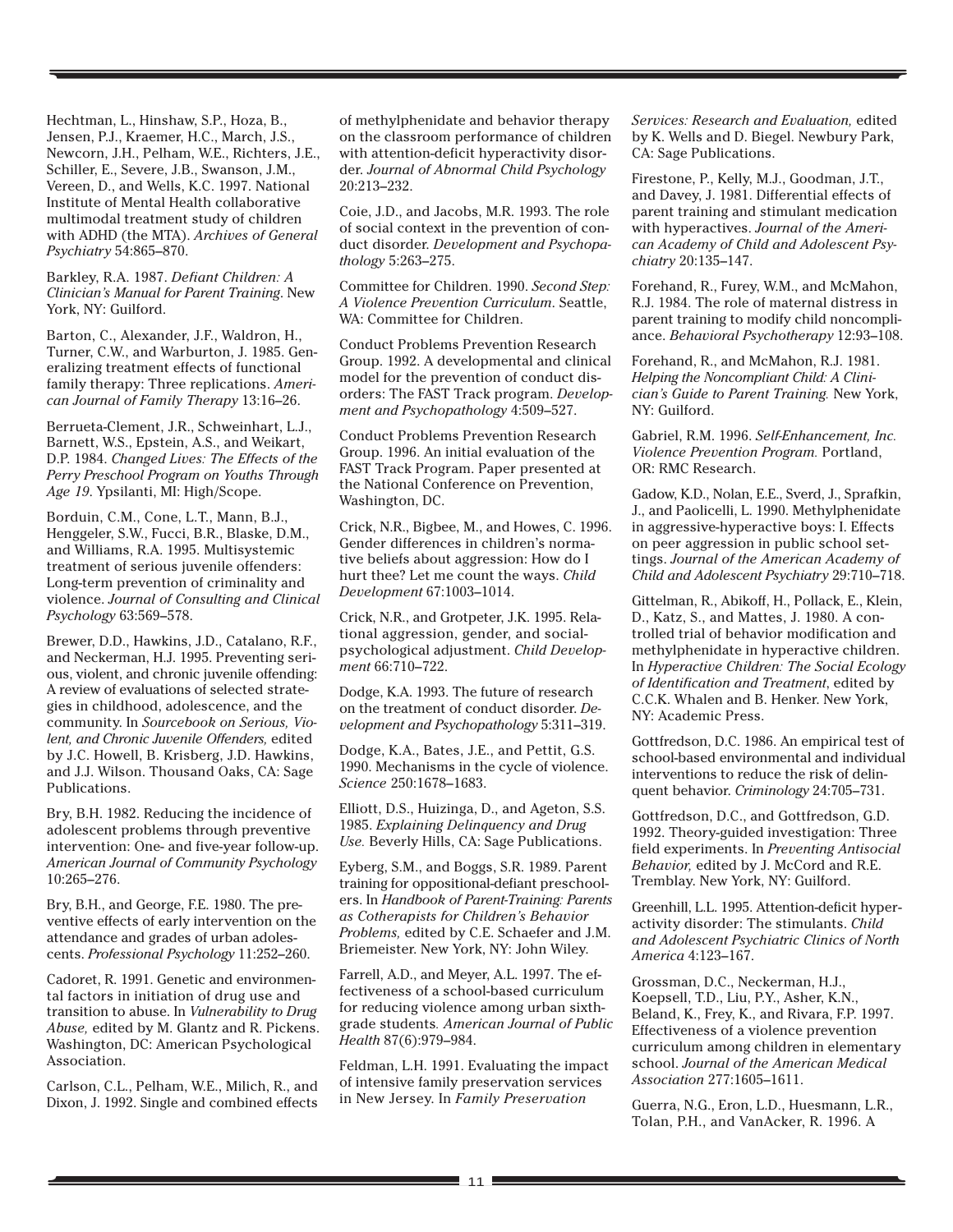Hechtman, L., Hinshaw, S.P., Hoza, B., Jensen, P.J., Kraemer, H.C., March, J.S., Newcorn, J.H., Pelham, W.E., Richters, J.E., Schiller, E., Severe, J.B., Swanson, J.M., Vereen, D., and Wells, K.C. 1997. National Institute of Mental Health collaborative multimodal treatment study of children with ADHD (the MTA). *Archives of General Psychiatry* 54:865–870.

Barkley, R.A. 1987. *Defiant Children: A Clinician's Manual for Parent Training*. New York, NY: Guilford.

Barton, C., Alexander, J.F., Waldron, H., Turner, C.W., and Warburton, J. 1985. Generalizing treatment effects of functional family therapy: Three replications. *American Journal of Family Therapy* 13:16–26.

Berrueta-Clement, J.R., Schweinhart, L.J., Barnett, W.S., Epstein, A.S., and Weikart, D.P. 1984. *Changed Lives: The Effects of the Perry Preschool Program on Youths Through Age 19*. Ypsilanti, MI: High/Scope.

Borduin, C.M., Cone, L.T., Mann, B.J., Henggeler, S.W., Fucci, B.R., Blaske, D.M., and Williams, R.A. 1995. Multisystemic treatment of serious juvenile offenders: Long-term prevention of criminality and violence. *Journal of Consulting and Clinical Psychology* 63:569–578.

Brewer, D.D., Hawkins, J.D., Catalano, R.F., and Neckerman, H.J. 1995. Preventing serious, violent, and chronic juvenile offending: A review of evaluations of selected strategies in childhood, adolescence, and the community. In *Sourcebook on Serious, Violent, and Chronic Juvenile Offenders,* edited by J.C. Howell, B. Krisberg, J.D. Hawkins, and J.J. Wilson. Thousand Oaks, CA: Sage Publications.

Bry, B.H. 1982. Reducing the incidence of adolescent problems through preventive intervention: One- and five-year follow-up. *American Journal of Community Psychology* 10:265–276.

Bry, B.H., and George, F.E. 1980. The preventive effects of early intervention on the attendance and grades of urban adolescents. *Professional Psychology* 11:252–260.

Cadoret, R. 1991. Genetic and environmental factors in initiation of drug use and transition to abuse. In *Vulnerability to Drug Abuse,* edited by M. Glantz and R. Pickens. Washington, DC: American Psychological Association.

Carlson, C.L., Pelham, W.E., Milich, R., and Dixon, J. 1992. Single and combined effects

of methylphenidate and behavior therapy on the classroom performance of children with attention-deficit hyperactivity disorder. *Journal of Abnormal Child Psychology* 20:213–232.

Coie, J.D., and Jacobs, M.R. 1993. The role of social context in the prevention of conduct disorder. *Development and Psychopathology* 5:263–275.

Committee for Children. 1990. *Second Step: A Violence Prevention Curriculum*. Seattle, WA: Committee for Children.

Conduct Problems Prevention Research Group. 1992. A developmental and clinical model for the prevention of conduct disorders: The FAST Track program. *Development and Psychopathology* 4:509–527.

Conduct Problems Prevention Research Group. 1996. An initial evaluation of the FAST Track Program. Paper presented at the National Conference on Prevention, Washington, DC.

Crick, N.R., Bigbee, M., and Howes, C. 1996. Gender differences in children's normative beliefs about aggression: How do I hurt thee? Let me count the ways. *Child Development* 67:1003–1014.

Crick, N.R., and Grotpeter, J.K. 1995. Relational aggression, gender, and socialpsychological adjustment. *Child Development* 66:710–722.

Dodge, K.A. 1993. The future of research on the treatment of conduct disorder. *Development and Psychopathology* 5:311–319.

Dodge, K.A., Bates, J.E., and Pettit, G.S. 1990. Mechanisms in the cycle of violence. *Science* 250:1678–1683.

Elliott, D.S., Huizinga, D., and Ageton, S.S. 1985. *Explaining Delinquency and Drug Use.* Beverly Hills, CA: Sage Publications.

Eyberg, S.M., and Boggs, S.R. 1989. Parent training for oppositional-defiant preschoolers. In *Handbook of Parent-Training: Parents as Cotherapists for Children's Behavior Problems,* edited by C.E. Schaefer and J.M. Briemeister. New York, NY: John Wiley.

Farrell, A.D., and Meyer, A.L. 1997. The effectiveness of a school-based curriculum for reducing violence among urban sixthgrade students*. American Journal of Public Health* 87(6):979–984.

Feldman, L.H. 1991. Evaluating the impact of intensive family preservation services in New Jersey. In *Family Preservation*

*Services: Research and Evaluation,* edited by K. Wells and D. Biegel. Newbury Park, CA: Sage Publications.

Firestone, P., Kelly, M.J., Goodman, J.T., and Davey, J. 1981. Differential effects of parent training and stimulant medication with hyperactives. *Journal of the American Academy of Child and Adolescent Psychiatry* 20:135–147.

Forehand, R., Furey, W.M., and McMahon, R.J. 1984. The role of maternal distress in parent training to modify child noncompliance. *Behavioral Psychotherapy* 12:93–108.

Forehand, R., and McMahon, R.J. 1981. *Helping the Noncompliant Child: A Clinician's Guide to Parent Training.* New York, NY: Guilford.

Gabriel, R.M. 1996. *Self-Enhancement, Inc. Violence Prevention Program.* Portland, OR: RMC Research.

Gadow, K.D., Nolan, E.E., Sverd, J., Sprafkin, J., and Paolicelli, L. 1990. Methylphenidate in aggressive-hyperactive boys: I. Effects on peer aggression in public school settings. *Journal of the American Academy of Child and Adolescent Psychiatry* 29:710–718.

Gittelman, R., Abikoff, H., Pollack, E., Klein, D., Katz, S., and Mattes, J. 1980. A controlled trial of behavior modification and methylphenidate in hyperactive children. In *Hyperactive Children: The Social Ecology of Identification and Treatment*, edited by C.C.K. Whalen and B. Henker. New York, NY: Academic Press.

Gottfredson, D.C. 1986. An empirical test of school-based environmental and individual interventions to reduce the risk of delinquent behavior. *Criminology* 24:705–731.

Gottfredson, D.C., and Gottfredson, G.D. 1992. Theory-guided investigation: Three field experiments. In *Preventing Antisocial Behavior,* edited by J. McCord and R.E. Tremblay. New York, NY: Guilford.

Greenhill, L.L. 1995. Attention-deficit hyperactivity disorder: The stimulants. *Child and Adolescent Psychiatric Clinics of North America* 4:123–167.

Grossman, D.C., Neckerman, H.J., Koepsell, T.D., Liu, P.Y., Asher, K.N., Beland, K., Frey, K., and Rivara, F.P. 1997. Effectiveness of a violence prevention curriculum among children in elementary school. *Journal of the American Medical Association* 277:1605–1611.

Guerra, N.G., Eron, L.D., Huesmann, L.R., Tolan, P.H., and VanAcker, R. 1996. A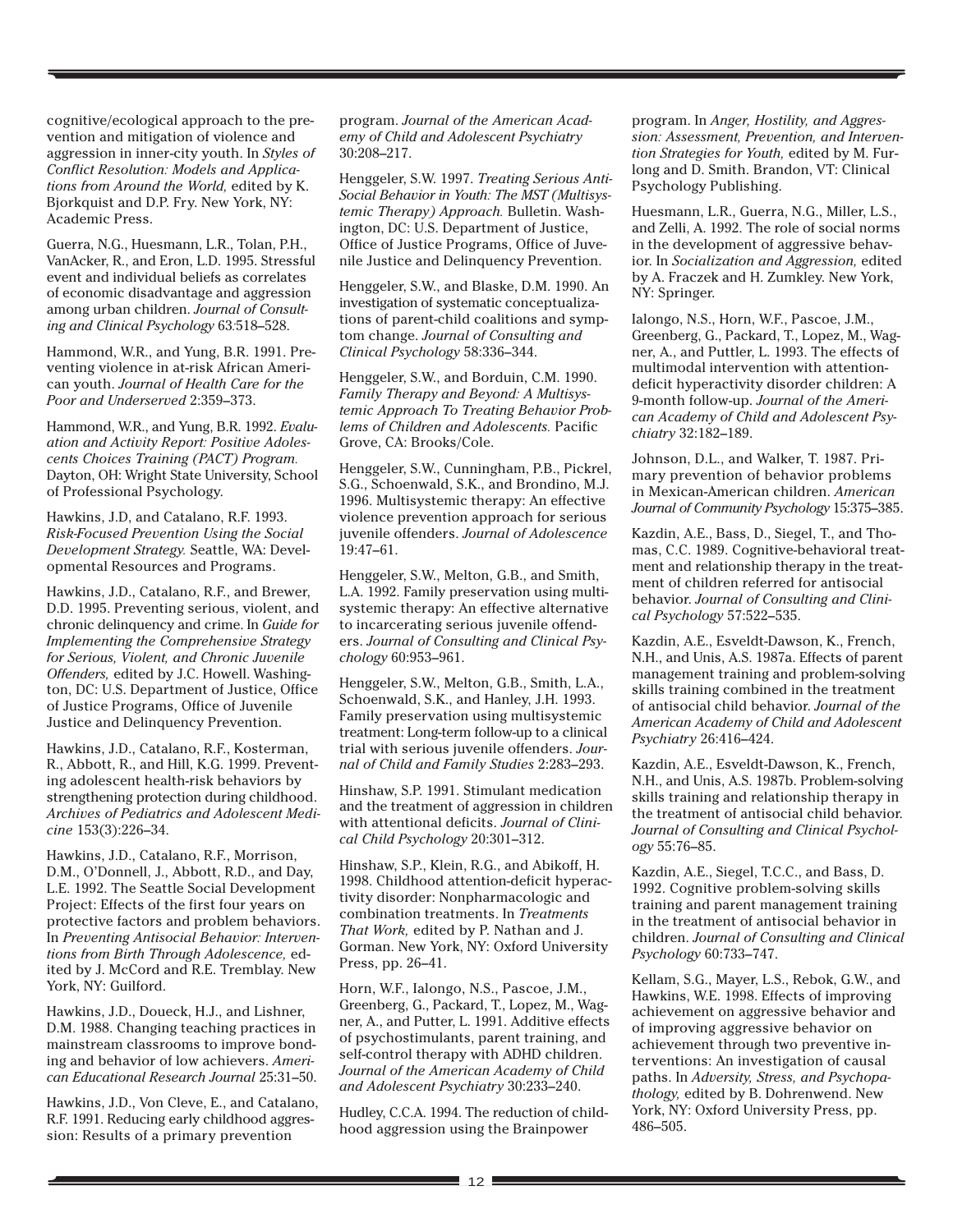cognitive/ecological approach to the prevention and mitigation of violence and aggression in inner-city youth. In *Styles of Conflict Resolution: Models and Applications from Around the World,* edited by K. Bjorkquist and D.P. Fry. New York, NY: Academic Press.

Guerra, N.G., Huesmann, L.R., Tolan, P.H., VanAcker, R., and Eron, L.D. 1995. Stressful event and individual beliefs as correlates of economic disadvantage and aggression among urban children. *Journal of Consulting and Clinical Psychology* 63*:*518–528.

Hammond, W.R., and Yung, B.R. 1991. Preventing violence in at-risk African American youth. *Journal of Health Care for the Poor and Underserved* 2:359–373.

Hammond, W.R., and Yung, B.R. 1992. *Evaluation and Activity Report: Positive Adolescents Choices Training (PACT) Program.* Dayton, OH: Wright State University, School of Professional Psychology.

Hawkins, J.D, and Catalano, R.F. 1993. *Risk-Focused Prevention Using the Social Development Strategy.* Seattle, WA: Developmental Resources and Programs.

Hawkins, J.D., Catalano, R.F., and Brewer, D.D. 1995. Preventing serious, violent, and chronic delinquency and crime. In *Guide for Implementing the Comprehensive Strategy for Serious, Violent, and Chronic Juvenile Offenders,* edited by J.C. Howell. Washington, DC: U.S. Department of Justice, Office of Justice Programs, Office of Juvenile Justice and Delinquency Prevention.

Hawkins, J.D., Catalano, R.F., Kosterman, R., Abbott, R., and Hill, K.G. 1999. Preventing adolescent health-risk behaviors by strengthening protection during childhood. *Archives of Pediatrics and Adolescent Medicine* 153(3):226–34.

Hawkins, J.D., Catalano, R.F., Morrison, D.M., O'Donnell, J., Abbott, R.D., and Day, L.E. 1992. The Seattle Social Development Project: Effects of the first four years on protective factors and problem behaviors. In *Preventing Antisocial Behavior: Interventions from Birth Through Adolescence,* edited by J. McCord and R.E. Tremblay. New York, NY: Guilford.

Hawkins, J.D., Doueck, H.J., and Lishner, D.M. 1988. Changing teaching practices in mainstream classrooms to improve bonding and behavior of low achievers. *American Educational Research Journal* 25:31–50.

Hawkins, J.D., Von Cleve, E., and Catalano, R.F. 1991. Reducing early childhood aggression: Results of a primary prevention

program. *Journal of the American Academy of Child and Adolescent Psychiatry* 30:208–217.

Henggeler, S.W. 1997. *Treating Serious Anti-Social Behavior in Youth: The MST (Multisystemic Therapy) Approach.* Bulletin. Washington, DC: U.S. Department of Justice, Office of Justice Programs, Office of Juvenile Justice and Delinquency Prevention.

Henggeler, S.W., and Blaske, D.M. 1990. An investigation of systematic conceptualizations of parent-child coalitions and symptom change. *Journal of Consulting and Clinical Psychology* 58:336–344.

Henggeler, S.W., and Borduin, C.M. 1990. *Family Therapy and Beyond: A Multisystemic Approach To Treating Behavior Problems of Children and Adolescents.* Pacific Grove, CA: Brooks/Cole.

Henggeler, S.W., Cunningham, P.B., Pickrel, S.G., Schoenwald, S.K., and Brondino, M.J. 1996. Multisystemic therapy: An effective violence prevention approach for serious juvenile offenders. *Journal of Adolescence* 19:47–61.

Henggeler, S.W., Melton, G.B., and Smith, L.A. 1992. Family preservation using multisystemic therapy: An effective alternative to incarcerating serious juvenile offenders. *Journal of Consulting and Clinical Psychology* 60:953–961.

Henggeler, S.W., Melton, G.B., Smith, L.A., Schoenwald, S.K., and Hanley, J.H. 1993. Family preservation using multisystemic treatment: Long-term follow-up to a clinical trial with serious juvenile offenders. *Journal of Child and Family Studies* 2:283–293.

Hinshaw, S.P. 1991. Stimulant medication and the treatment of aggression in children with attentional deficits. *Journal of Clinical Child Psychology* 20:301–312.

Hinshaw, S.P., Klein, R.G., and Abikoff, H. 1998. Childhood attention-deficit hyperactivity disorder: Nonpharmacologic and combination treatments. In *Treatments That Work,* edited by P. Nathan and J. Gorman. New York, NY: Oxford University Press, pp. 26–41.

Horn, W.F., Ialongo, N.S., Pascoe, J.M., Greenberg, G., Packard, T., Lopez, M., Wagner, A., and Putter, L. 1991. Additive effects of psychostimulants, parent training, and self-control therapy with ADHD children. *Journal of the American Academy of Child and Adolescent Psychiatry* 30:233–240.

Hudley, C.C.A. 1994. The reduction of childhood aggression using the Brainpower

program. In *Anger, Hostility, and Aggression: Assessment, Prevention, and Intervention Strategies for Youth,* edited by M. Furlong and D. Smith. Brandon, VT: Clinical Psychology Publishing.

Huesmann, L.R., Guerra, N.G., Miller, L.S., and Zelli, A. 1992. The role of social norms in the development of aggressive behavior. In *Socialization and Aggression,* edited by A. Fraczek and H. Zumkley. New York, NY: Springer.

Ialongo, N.S., Horn, W.F., Pascoe, J.M., Greenberg, G., Packard, T., Lopez, M., Wagner, A., and Puttler, L. 1993. The effects of multimodal intervention with attentiondeficit hyperactivity disorder children: A 9-month follow-up. *Journal of the American Academy of Child and Adolescent Psychiatry* 32:182–189.

Johnson, D.L., and Walker, T. 1987. Primary prevention of behavior problems in Mexican-American children. *American Journal of Community Psychology* 15:375–385.

Kazdin, A.E., Bass, D., Siegel, T., and Thomas, C.C. 1989. Cognitive-behavioral treatment and relationship therapy in the treatment of children referred for antisocial behavior. *Journal of Consulting and Clinical Psychology* 57:522–535.

Kazdin, A.E., Esveldt-Dawson, K., French, N.H., and Unis, A.S. 1987a. Effects of parent management training and problem-solving skills training combined in the treatment of antisocial child behavior. *Journal of the American Academy of Child and Adolescent Psychiatry* 26:416–424.

Kazdin, A.E., Esveldt-Dawson, K., French, N.H., and Unis, A.S. 1987b. Problem-solving skills training and relationship therapy in the treatment of antisocial child behavior. *Journal of Consulting and Clinical Psychology* 55:76–85.

Kazdin, A.E., Siegel, T.C.C., and Bass, D. 1992. Cognitive problem-solving skills training and parent management training in the treatment of antisocial behavior in children. *Journal of Consulting and Clinical Psychology* 60:733–747.

Kellam, S.G., Mayer, L.S., Rebok, G.W., and Hawkins, W.E. 1998. Effects of improving achievement on aggressive behavior and of improving aggressive behavior on achievement through two preventive interventions: An investigation of causal paths. In *Adversity, Stress, and Psychopathology,* edited by B. Dohrenwend. New York, NY: Oxford University Press, pp. 486–505.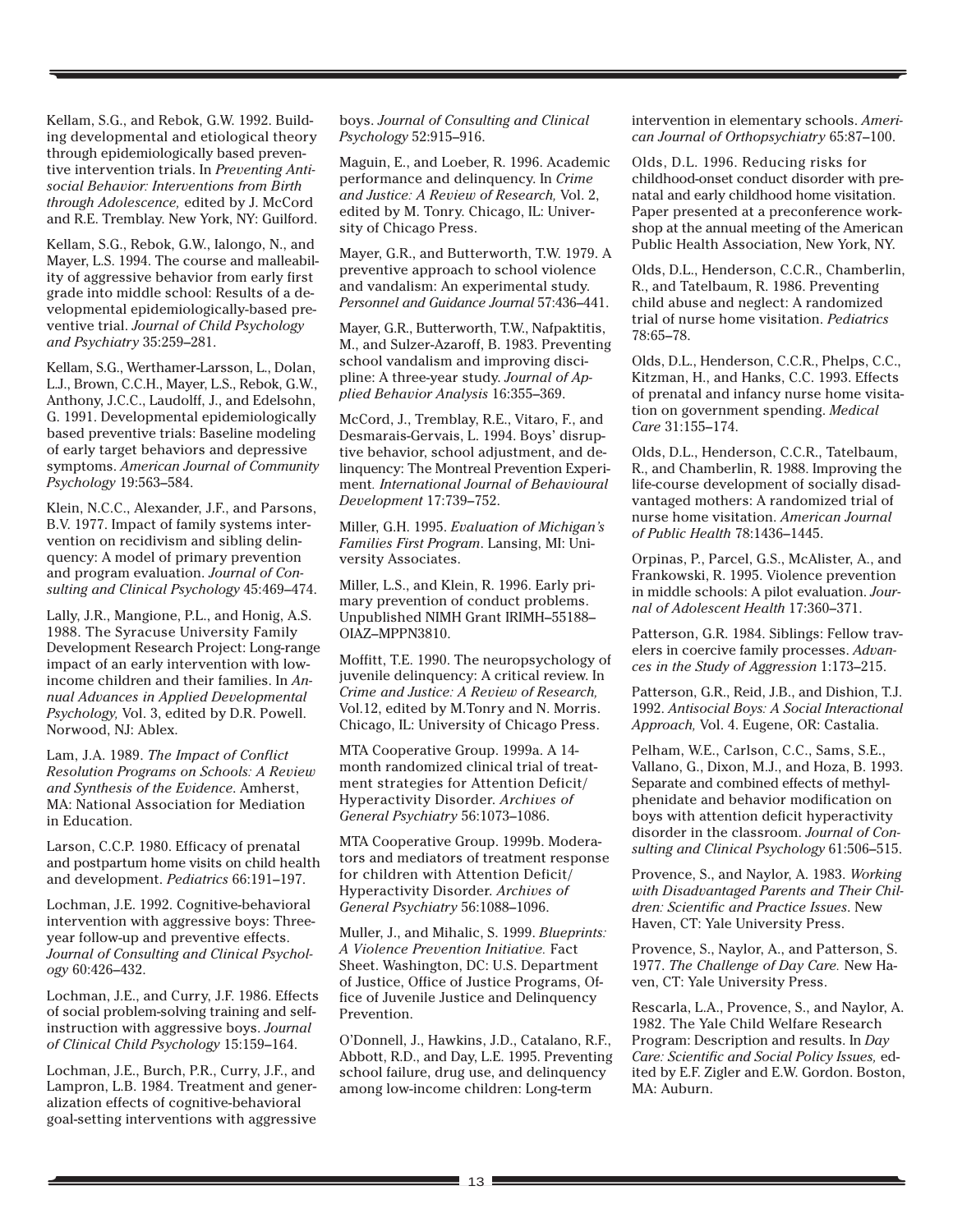Kellam, S.G., and Rebok, G.W. 1992. Building developmental and etiological theory through epidemiologically based preventive intervention trials. In *Preventing Antisocial Behavior: Interventions from Birth through Adolescence,* edited by J. McCord and R.E. Tremblay. New York, NY: Guilford.

Kellam, S.G., Rebok, G.W., Ialongo, N., and Mayer, L.S. 1994. The course and malleability of aggressive behavior from early first grade into middle school: Results of a developmental epidemiologically-based preventive trial. *Journal of Child Psychology and Psychiatry* 35:259–281.

Kellam, S.G., Werthamer-Larsson, L., Dolan, L.J., Brown, C.C.H., Mayer, L.S., Rebok, G.W., Anthony, J.C.C., Laudolff, J., and Edelsohn, G. 1991. Developmental epidemiologically based preventive trials: Baseline modeling of early target behaviors and depressive symptoms. *American Journal of Community Psychology* 19:563–584.

Klein, N.C.C., Alexander, J.F., and Parsons, B.V. 1977. Impact of family systems intervention on recidivism and sibling delinquency: A model of primary prevention and program evaluation. *Journal of Consulting and Clinical Psychology* 45:469–474.

Lally, J.R., Mangione, P.L., and Honig, A.S. 1988. The Syracuse University Family Development Research Project: Long-range impact of an early intervention with lowincome children and their families. In *Annual Advances in Applied Developmental Psychology,* Vol. 3, edited by D.R. Powell. Norwood, NJ: Ablex.

Lam, J.A. 1989. *The Impact of Conflict Resolution Programs on Schools: A Review and Synthesis of the Evidence*. Amherst, MA: National Association for Mediation in Education.

Larson, C.C.P. 1980. Efficacy of prenatal and postpartum home visits on child health and development. *Pediatrics* 66:191–197.

Lochman, J.E. 1992. Cognitive-behavioral intervention with aggressive boys: Threeyear follow-up and preventive effects. *Journal of Consulting and Clinical Psychology* 60:426–432.

Lochman, J.E., and Curry, J.F. 1986. Effects of social problem-solving training and selfinstruction with aggressive boys. *Journal of Clinical Child Psychology* 15:159–164.

Lochman, J.E., Burch, P.R., Curry, J.F., and Lampron, L.B. 1984. Treatment and generalization effects of cognitive-behavioral goal-setting interventions with aggressive

boys. *Journal of Consulting and Clinical Psychology* 52:915–916.

Maguin, E., and Loeber, R. 1996. Academic performance and delinquency. In *Crime and Justice: A Review of Research,* Vol. 2, edited by M. Tonry. Chicago, IL: University of Chicago Press.

Mayer, G.R., and Butterworth, T.W. 1979. A preventive approach to school violence and vandalism: An experimental study. *Personnel and Guidance Journal* 57:436–441.

Mayer, G.R., Butterworth, T.W., Nafpaktitis, M., and Sulzer-Azaroff, B. 1983. Preventing school vandalism and improving discipline: A three-year study. *Journal of Applied Behavior Analysis* 16:355–369.

McCord, J., Tremblay, R.E., Vitaro, F., and Desmarais-Gervais, L. 1994. Boys' disruptive behavior, school adjustment, and delinquency: The Montreal Prevention Experiment*. International Journal of Behavioural Development* 17:739–752.

Miller, G.H. 1995. *Evaluation of Michigan's Families First Program*. Lansing, MI: University Associates.

Miller, L.S., and Klein, R. 1996. Early primary prevention of conduct problems. Unpublished NIMH Grant IRIMH–55188– OIAZ–MPPN3810.

Moffitt, T.E. 1990. The neuropsychology of juvenile delinquency: A critical review. In *Crime and Justice: A Review of Research,* Vol.12, edited by M.Tonry and N. Morris. Chicago, IL: University of Chicago Press.

MTA Cooperative Group. 1999a. A 14 month randomized clinical trial of treatment strategies for Attention Deficit/ Hyperactivity Disorder. *Archives of General Psychiatry* 56:1073–1086.

MTA Cooperative Group. 1999b. Moderators and mediators of treatment response for children with Attention Deficit/ Hyperactivity Disorder. *Archives of General Psychiatry* 56:1088–1096.

Muller, J., and Mihalic, S. 1999. *Blueprints: A Violence Prevention Initiative.* Fact Sheet. Washington, DC: U.S. Department of Justice, Office of Justice Programs, Office of Juvenile Justice and Delinquency Prevention.

O'Donnell, J., Hawkins, J.D., Catalano, R.F., Abbott, R.D., and Day, L.E. 1995. Preventing school failure, drug use, and delinquency among low-income children: Long-term

intervention in elementary schools. *American Journal of Orthopsychiatry* 65:87–100.

Olds, D.L. 1996. Reducing risks for childhood-onset conduct disorder with prenatal and early childhood home visitation. Paper presented at a preconference workshop at the annual meeting of the American Public Health Association, New York, NY.

Olds, D.L., Henderson, C.C.R., Chamberlin, R., and Tatelbaum, R. 1986. Preventing child abuse and neglect: A randomized trial of nurse home visitation. *Pediatrics* 78:65–78.

Olds, D.L., Henderson, C.C.R., Phelps, C.C., Kitzman, H., and Hanks, C.C. 1993. Effects of prenatal and infancy nurse home visitation on government spending. *Medical Care* 31:155–174.

Olds, D.L., Henderson, C.C.R., Tatelbaum, R., and Chamberlin, R. 1988. Improving the life-course development of socially disadvantaged mothers: A randomized trial of nurse home visitation. *American Journal of Public Health* 78:1436–1445.

Orpinas, P., Parcel, G.S., McAlister, A., and Frankowski, R. 1995. Violence prevention in middle schools: A pilot evaluation. *Journal of Adolescent Health* 17:360–371.

Patterson, G.R. 1984. Siblings: Fellow travelers in coercive family processes. *Advances in the Study of Aggression* 1:173–215.

Patterson, G.R., Reid, J.B., and Dishion, T.J. 1992. *Antisocial Boys: A Social Interactional Approach,* Vol. 4. Eugene, OR: Castalia.

Pelham, W.E., Carlson, C.C., Sams, S.E., Vallano, G., Dixon, M.J., and Hoza, B. 1993. Separate and combined effects of methylphenidate and behavior modification on boys with attention deficit hyperactivity disorder in the classroom. *Journal of Consulting and Clinical Psychology* 61:506–515.

Provence, S., and Naylor, A. 1983. *Working with Disadvantaged Parents and Their Children: Scientific and Practice Issues*. New Haven, CT: Yale University Press.

Provence, S., Naylor, A., and Patterson, S. 1977. *The Challenge of Day Care.* New Haven, CT: Yale University Press.

Rescarla, L.A., Provence, S., and Naylor, A. 1982. The Yale Child Welfare Research Program: Description and results. In *Day Care: Scientific and Social Policy Issues,* edited by E.F. Zigler and E.W. Gordon. Boston, MA: Auburn.

the control of the control of the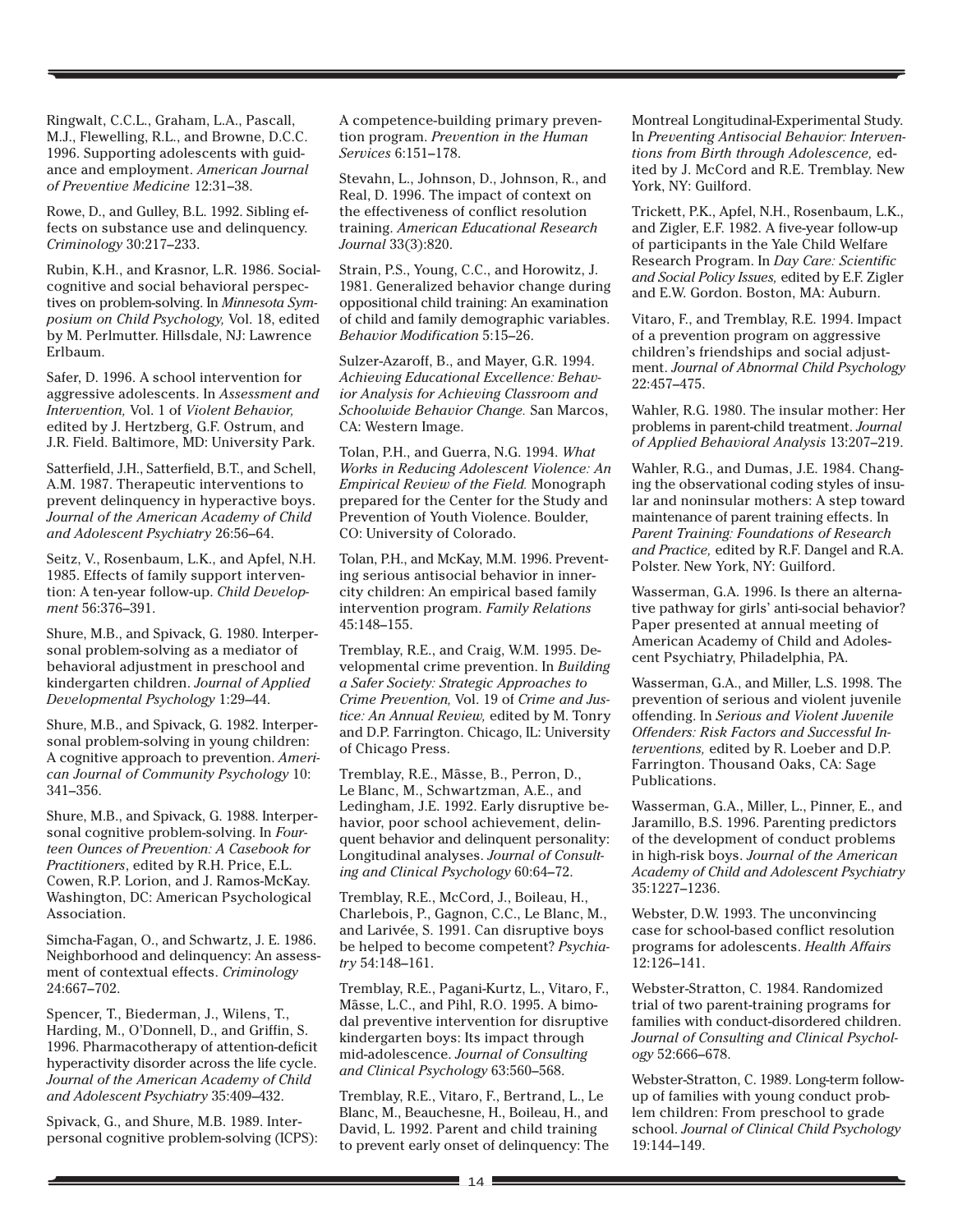Ringwalt, C.C.L., Graham, L.A., Pascall, M.J., Flewelling, R.L., and Browne, D.C.C. 1996. Supporting adolescents with guidance and employment. *American Journal of Preventive Medicine* 12:31–38.

Rowe, D., and Gulley, B.L. 1992. Sibling effects on substance use and delinquency. *Criminology* 30:217–233.

Rubin, K.H., and Krasnor, L.R. 1986. Socialcognitive and social behavioral perspectives on problem-solving. In *Minnesota Symposium on Child Psychology,* Vol. 18, edited by M. Perlmutter. Hillsdale, NJ: Lawrence Erlbaum.

Safer, D. 1996. A school intervention for aggressive adolescents. In *Assessment and Intervention,* Vol. 1 of *Violent Behavior,* edited by J. Hertzberg, G.F. Ostrum, and J.R. Field. Baltimore, MD: University Park.

Satterfield, J.H., Satterfield, B.T., and Schell, A.M. 1987. Therapeutic interventions to prevent delinquency in hyperactive boys. *Journal of the American Academy of Child and Adolescent Psychiatry* 26:56–64.

Seitz, V., Rosenbaum, L.K., and Apfel, N.H. 1985. Effects of family support intervention: A ten-year follow-up. *Child Development* 56:376–391.

Shure, M.B., and Spivack, G. 1980. Interpersonal problem-solving as a mediator of behavioral adjustment in preschool and kindergarten children. *Journal of Applied Developmental Psychology* 1:29–44.

Shure, M.B., and Spivack, G. 1982. Interpersonal problem-solving in young children: A cognitive approach to prevention. *American Journal of Community Psychology* 10: 341–356.

Shure, M.B., and Spivack, G. 1988. Interpersonal cognitive problem-solving. In *Fourteen Ounces of Prevention: A Casebook for Practitioners*, edited by R.H. Price, E.L. Cowen, R.P. Lorion, and J. Ramos-McKay. Washington, DC: American Psychological Association.

Simcha-Fagan, O., and Schwartz, J. E. 1986. Neighborhood and delinquency: An assessment of contextual effects. *Criminology* 24:667–702.

Spencer, T., Biederman, J., Wilens, T., Harding, M., O'Donnell, D., and Griffin, S. 1996. Pharmacotherapy of attention-deficit hyperactivity disorder across the life cycle. *Journal of the American Academy of Child and Adolescent Psychiatry* 35:409–432.

Spivack, G., and Shure, M.B. 1989. Interpersonal cognitive problem-solving (ICPS):

A competence-building primary prevention program. *Prevention in the Human Services* 6:151–178.

Stevahn, L., Johnson, D., Johnson, R., and Real, D. 1996. The impact of context on the effectiveness of conflict resolution training. *American Educational Research Journal* 33(3):820.

Strain, P.S., Young, C.C., and Horowitz, J. 1981. Generalized behavior change during oppositional child training: An examination of child and family demographic variables. *Behavior Modification* 5:15–26.

Sulzer-Azaroff, B., and Mayer, G.R. 1994. *Achieving Educational Excellence: Behavior Analysis for Achieving Classroom and Schoolwide Behavior Change.* San Marcos, CA: Western Image.

Tolan, P.H., and Guerra, N.G. 1994. *What Works in Reducing Adolescent Violence: An Empirical Review of the Field.* Monograph prepared for the Center for the Study and Prevention of Youth Violence. Boulder, CO: University of Colorado.

Tolan, P.H., and McKay, M.M. 1996. Preventing serious antisocial behavior in innercity children: An empirical based family intervention program. *Family Relations* 45:148–155.

Tremblay, R.E., and Craig, W.M. 1995. Developmental crime prevention. In *Building a Safer Society: Strategic Approaches to Crime Prevention,* Vol. 19 of *Crime and Justice: An Annual Review,* edited by M. Tonry and D.P. Farrington. Chicago, IL: University of Chicago Press.

Tremblay, R.E., Mâsse, B., Perron, D., Le Blanc, M., Schwartzman, A.E., and Ledingham, J.E. 1992. Early disruptive behavior, poor school achievement, delinquent behavior and delinquent personality: Longitudinal analyses. *Journal of Consulting and Clinical Psychology* 60:64–72.

Tremblay, R.E., McCord, J., Boileau, H., Charlebois, P., Gagnon, C.C., Le Blanc, M., and Larivée, S. 1991. Can disruptive boys be helped to become competent? *Psychiatry* 54:148–161.

Tremblay, R.E., Pagani-Kurtz, L., Vitaro, F., Mâsse, L.C., and Pihl, R.O. 1995. A bimodal preventive intervention for disruptive kindergarten boys: Its impact through mid-adolescence. *Journal of Consulting and Clinical Psychology* 63:560–568.

Tremblay, R.E., Vitaro, F., Bertrand, L., Le Blanc, M., Beauchesne, H., Boileau, H., and David, L. 1992. Parent and child training to prevent early onset of delinquency: The Montreal Longitudinal-Experimental Study. In *Preventing Antisocial Behavior: Interventions from Birth through Adolescence,* edited by J. McCord and R.E. Tremblay. New York, NY: Guilford.

Trickett, P.K., Apfel, N.H., Rosenbaum, L.K., and Zigler, E.F. 1982. A five-year follow-up of participants in the Yale Child Welfare Research Program. In *Day Care: Scientific and Social Policy Issues,* edited by E.F. Zigler and E.W. Gordon. Boston, MA: Auburn.

Vitaro, F., and Tremblay, R.E. 1994. Impact of a prevention program on aggressive children's friendships and social adjustment. *Journal of Abnormal Child Psychology* 22:457–475.

Wahler, R.G. 1980. The insular mother: Her problems in parent-child treatment. *Journal of Applied Behavioral Analysis* 13:207–219.

Wahler, R.G., and Dumas, J.E. 1984. Changing the observational coding styles of insular and noninsular mothers: A step toward maintenance of parent training effects. In *Parent Training: Foundations of Research and Practice,* edited by R.F. Dangel and R.A. Polster. New York, NY: Guilford.

Wasserman, G.A. 1996. Is there an alternative pathway for girls' anti-social behavior? Paper presented at annual meeting of American Academy of Child and Adolescent Psychiatry, Philadelphia, PA.

Wasserman, G.A., and Miller, L.S. 1998. The prevention of serious and violent juvenile offending. In *Serious and Violent Juvenile Offenders: Risk Factors and Successful Interventions,* edited by R. Loeber and D.P. Farrington. Thousand Oaks, CA: Sage Publications.

Wasserman, G.A., Miller, L., Pinner, E., and Jaramillo, B.S. 1996. Parenting predictors of the development of conduct problems in high-risk boys. *Journal of the American Academy of Child and Adolescent Psychiatry* 35:1227–1236.

Webster, D.W. 1993. The unconvincing case for school-based conflict resolution programs for adolescents. *Health Affairs* 12:126–141.

Webster-Stratton, C. 1984. Randomized trial of two parent-training programs for families with conduct-disordered children. *Journal of Consulting and Clinical Psychology* 52:666–678.

Webster-Stratton, C. 1989. Long-term followup of families with young conduct problem children: From preschool to grade school. *Journal of Clinical Child Psychology* 19:144–149.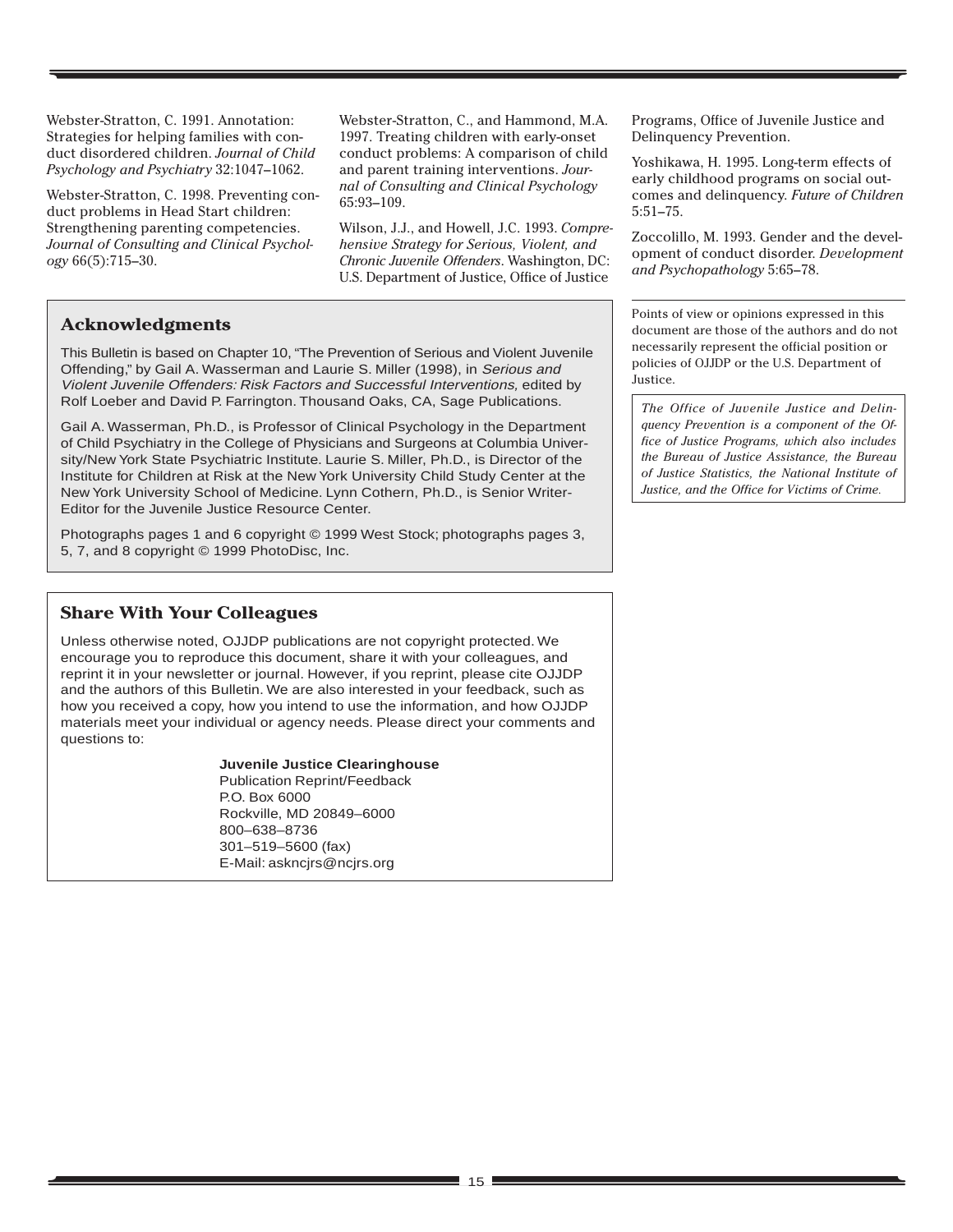Webster-Stratton, C. 1991. Annotation: Strategies for helping families with conduct disordered children. *Journal of Child Psychology and Psychiatry* 32:1047–1062.

Webster-Stratton, C. 1998. Preventing conduct problems in Head Start children: Strengthening parenting competencies. *Journal of Consulting and Clinical Psychology* 66(5):715–30.

Webster-Stratton, C., and Hammond, M.A. 1997. Treating children with early-onset conduct problems: A comparison of child and parent training interventions. *Journal of Consulting and Clinical Psychology* 65:93–109.

Wilson, J.J., and Howell, J.C. 1993. *Comprehensive Strategy for Serious, Violent, and Chronic Juvenile Offenders*. Washington, DC: U.S. Department of Justice, Office of Justice

## **Acknowledgments**

This Bulletin is based on Chapter 10, "The Prevention of Serious and Violent Juvenile Offending," by Gail A. Wasserman and Laurie S. Miller (1998), in Serious and Violent Juvenile Offenders: Risk Factors and Successful Interventions, edited by Rolf Loeber and David P. Farrington. Thousand Oaks, CA, Sage Publications.

Gail A. Wasserman, Ph.D., is Professor of Clinical Psychology in the Department of Child Psychiatry in the College of Physicians and Surgeons at Columbia University/New York State Psychiatric Institute. Laurie S. Miller, Ph.D., is Director of the Institute for Children at Risk at the New York University Child Study Center at the New York University School of Medicine. Lynn Cothern, Ph.D., is Senior Writer-Editor for the Juvenile Justice Resource Center.

Photographs pages 1 and 6 copyright © 1999 West Stock; photographs pages 3, 5, 7, and 8 copyright © 1999 PhotoDisc, Inc.

## **Share With Your Colleagues**

Unless otherwise noted, OJJDP publications are not copyright protected. We encourage you to reproduce this document, share it with your colleagues, and reprint it in your newsletter or journal. However, if you reprint, please cite OJJDP and the authors of this Bulletin. We are also interested in your feedback, such as how you received a copy, how you intend to use the information, and how OJJDP materials meet your individual or agency needs. Please direct your comments and questions to:

#### **Juvenile Justice Clearinghouse**

Publication Reprint/Feedback P.O. Box 6000 Rockville, MD 20849–6000 800–638–8736 301–519–5600 (fax) E-Mail: askncjrs@ncjrs.org

Programs, Office of Juvenile Justice and Delinquency Prevention.

Yoshikawa, H. 1995. Long-term effects of early childhood programs on social outcomes and delinquency. *Future of Children* 5:51–75.

Zoccolillo, M. 1993. Gender and the development of conduct disorder. *Development and Psychopathology* 5:65–78.

Points of view or opinions expressed in this document are those of the authors and do not necessarily represent the official position or policies of OJJDP or the U.S. Department of Justice.

*The Office of Juvenile Justice and Delinquency Prevention is a component of the Office of Justice Programs, which also includes the Bureau of Justice Assistance, the Bureau of Justice Statistics, the National Institute of Justice, and the Office for Victims of Crime.*